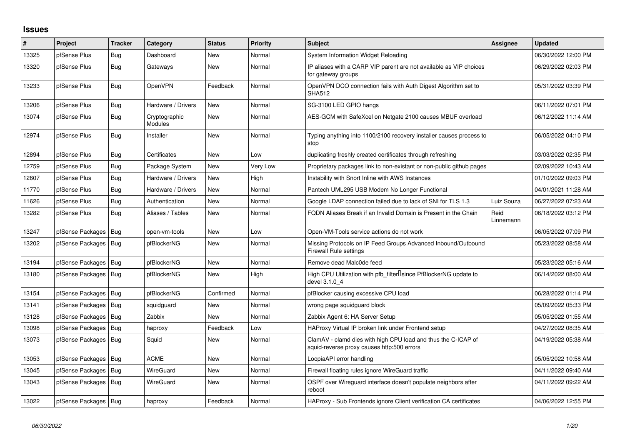## **Issues**

| ∦     | Project                | <b>Tracker</b> | Category                 | <b>Status</b> | <b>Priority</b> | <b>Subject</b>                                                                                              | Assignee          | <b>Updated</b>      |
|-------|------------------------|----------------|--------------------------|---------------|-----------------|-------------------------------------------------------------------------------------------------------------|-------------------|---------------------|
| 13325 | pfSense Plus           | <b>Bug</b>     | Dashboard                | New           | Normal          | System Information Widget Reloading                                                                         |                   | 06/30/2022 12:00 PM |
| 13320 | pfSense Plus           | <b>Bug</b>     | Gateways                 | New           | Normal          | IP aliases with a CARP VIP parent are not available as VIP choices<br>for gateway groups                    |                   | 06/29/2022 02:03 PM |
| 13233 | pfSense Plus           | Bug            | OpenVPN                  | Feedback      | Normal          | OpenVPN DCO connection fails with Auth Digest Algorithm set to<br><b>SHA512</b>                             |                   | 05/31/2022 03:39 PM |
| 13206 | pfSense Plus           | Bug            | Hardware / Drivers       | <b>New</b>    | Normal          | SG-3100 LED GPIO hangs                                                                                      |                   | 06/11/2022 07:01 PM |
| 13074 | pfSense Plus           | <b>Bug</b>     | Cryptographic<br>Modules | <b>New</b>    | Normal          | AES-GCM with SafeXcel on Netgate 2100 causes MBUF overload                                                  |                   | 06/12/2022 11:14 AM |
| 12974 | pfSense Plus           | Bug            | Installer                | <b>New</b>    | Normal          | Typing anything into 1100/2100 recovery installer causes process to<br>stop                                 |                   | 06/05/2022 04:10 PM |
| 12894 | pfSense Plus           | <b>Bug</b>     | Certificates             | <b>New</b>    | Low             | duplicating freshly created certificates through refreshing                                                 |                   | 03/03/2022 02:35 PM |
| 12759 | pfSense Plus           | <b>Bug</b>     | Package System           | New           | Very Low        | Proprietary packages link to non-existant or non-public github pages                                        |                   | 02/09/2022 10:43 AM |
| 12607 | pfSense Plus           | Bug            | Hardware / Drivers       | <b>New</b>    | High            | Instability with Snort Inline with AWS Instances                                                            |                   | 01/10/2022 09:03 PM |
| 11770 | pfSense Plus           | <b>Bug</b>     | Hardware / Drivers       | New           | Normal          | Pantech UML295 USB Modem No Longer Functional                                                               |                   | 04/01/2021 11:28 AM |
| 11626 | pfSense Plus           | <b>Bug</b>     | Authentication           | New           | Normal          | Google LDAP connection failed due to lack of SNI for TLS 1.3                                                | Luiz Souza        | 06/27/2022 07:23 AM |
| 13282 | pfSense Plus           | Bug            | Aliases / Tables         | <b>New</b>    | Normal          | FQDN Aliases Break if an Invalid Domain is Present in the Chain                                             | Reid<br>Linnemann | 06/18/2022 03:12 PM |
| 13247 | pfSense Packages       | Bug            | open-vm-tools            | New           | Low             | Open-VM-Tools service actions do not work                                                                   |                   | 06/05/2022 07:09 PM |
| 13202 | pfSense Packages       | Bug            | pfBlockerNG              | New           | Normal          | Missing Protocols on IP Feed Groups Advanced Inbound/Outbound<br><b>Firewall Rule settings</b>              |                   | 05/23/2022 08:58 AM |
| 13194 | pfSense Packages       | Bug            | pfBlockerNG              | <b>New</b>    | Normal          | Remove dead Malc0de feed                                                                                    |                   | 05/23/2022 05:16 AM |
| 13180 | pfSense Packages       | Bug            | pfBlockerNG              | New           | High            | High CPU Utilization with pfb_filter <sup>[]</sup> since PfBlockerNG update to<br>devel 3.1.0 4             |                   | 06/14/2022 08:00 AM |
| 13154 | pfSense Packages       | Bug            | pfBlockerNG              | Confirmed     | Normal          | pfBlocker causing excessive CPU load                                                                        |                   | 06/28/2022 01:14 PM |
| 13141 | pfSense Packages       | Bug            | squidguard               | New           | Normal          | wrong page squidguard block                                                                                 |                   | 05/09/2022 05:33 PM |
| 13128 | pfSense Packages       | Bug            | Zabbix                   | <b>New</b>    | Normal          | Zabbix Agent 6: HA Server Setup                                                                             |                   | 05/05/2022 01:55 AM |
| 13098 | pfSense Packages       | Bug            | haproxy                  | Feedback      | Low             | HAProxy Virtual IP broken link under Frontend setup                                                         |                   | 04/27/2022 08:35 AM |
| 13073 | pfSense Packages       | Bug            | Squid                    | <b>New</b>    | Normal          | ClamAV - clamd dies with high CPU load and thus the C-ICAP of<br>squid-reverse proxy causes http:500 errors |                   | 04/19/2022 05:38 AM |
| 13053 | pfSense Packages       | Bug            | <b>ACME</b>              | New           | Normal          | LoopiaAPI error handling                                                                                    |                   | 05/05/2022 10:58 AM |
| 13045 | pfSense Packages       | Bug            | WireGuard                | <b>New</b>    | Normal          | Firewall floating rules ignore WireGuard traffic                                                            |                   | 04/11/2022 09:40 AM |
| 13043 | pfSense Packages       | Bug            | WireGuard                | New           | Normal          | OSPF over Wireguard interface doesn't populate neighbors after<br>reboot                                    |                   | 04/11/2022 09:22 AM |
| 13022 | pfSense Packages   Bug |                | haproxy                  | Feedback      | Normal          | HAProxy - Sub Frontends ignore Client verification CA certificates                                          |                   | 04/06/2022 12:55 PM |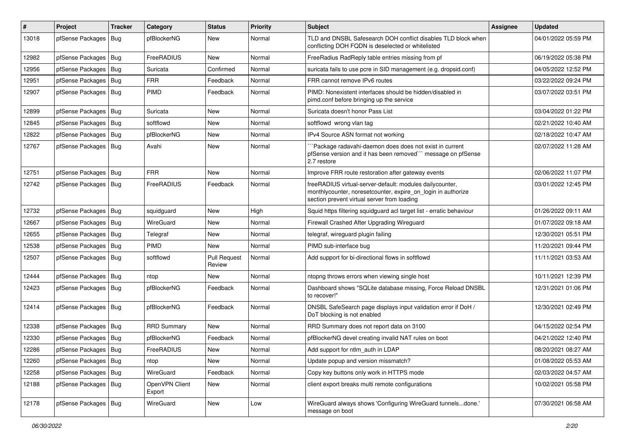| #     | Project                | Tracker | Category                 | <b>Status</b>                 | <b>Priority</b> | <b>Subject</b>                                                                                                                                                          | Assignee | <b>Updated</b>      |
|-------|------------------------|---------|--------------------------|-------------------------------|-----------------|-------------------------------------------------------------------------------------------------------------------------------------------------------------------------|----------|---------------------|
| 13018 | pfSense Packages       | Bug     | pfBlockerNG              | New                           | Normal          | TLD and DNSBL Safesearch DOH conflict disables TLD block when<br>conflicting DOH FQDN is deselected or whitelisted                                                      |          | 04/01/2022 05:59 PM |
| 12982 | pfSense Packages   Bug |         | FreeRADIUS               | New                           | Normal          | FreeRadius RadReply table entries missing from pf                                                                                                                       |          | 06/19/2022 05:38 PM |
| 12956 | pfSense Packages   Bug |         | Suricata                 | Confirmed                     | Normal          | suricata fails to use pcre in SID management (e.g. dropsid.conf)                                                                                                        |          | 04/05/2022 12:52 PM |
| 12951 | pfSense Packages   Bug |         | <b>FRR</b>               | Feedback                      | Normal          | FRR cannot remove IPv6 routes                                                                                                                                           |          | 03/22/2022 09:24 PM |
| 12907 | pfSense Packages   Bug |         | <b>PIMD</b>              | Feedback                      | Normal          | PIMD: Nonexistent interfaces should be hidden/disabled in<br>pimd.conf before bringing up the service                                                                   |          | 03/07/2022 03:51 PM |
| 12899 | pfSense Packages       | Bug     | Suricata                 | <b>New</b>                    | Normal          | Suricata doesn't honor Pass List                                                                                                                                        |          | 03/04/2022 01:22 PM |
| 12845 | pfSense Packages   Bug |         | softflowd                | New                           | Normal          | softflowd wrong vlan tag                                                                                                                                                |          | 02/21/2022 10:40 AM |
| 12822 | pfSense Packages   Bug |         | pfBlockerNG              | New                           | Normal          | IPv4 Source ASN format not working                                                                                                                                      |          | 02/18/2022 10:47 AM |
| 12767 | pfSense Packages   Bug |         | Avahi                    | New                           | Normal          | Package radavahi-daemon does does not exist in current<br>pfSense version and it has been removed"" message on pfSense<br>2.7 restore                                   |          | 02/07/2022 11:28 AM |
| 12751 | pfSense Packages   Bug |         | <b>FRR</b>               | <b>New</b>                    | Normal          | Improve FRR route restoration after gateway events                                                                                                                      |          | 02/06/2022 11:07 PM |
| 12742 | pfSense Packages   Bug |         | FreeRADIUS               | Feedback                      | Normal          | freeRADIUS virtual-server-default: modules dailycounter,<br>monthlycounter, noresetcounter, expire_on_login in authorize<br>section prevent virtual server from loading |          | 03/01/2022 12:45 PM |
| 12732 | pfSense Packages   Bug |         | squidquard               | New                           | High            | Squid https filtering squidquard acl target list - erratic behaviour                                                                                                    |          | 01/26/2022 09:11 AM |
| 12667 | pfSense Packages   Bug |         | WireGuard                | New                           | Normal          | Firewall Crashed After Upgrading Wireguard                                                                                                                              |          | 01/07/2022 09:18 AM |
| 12655 | pfSense Packages       | Bug     | Telegraf                 | New                           | Normal          | telegraf, wireguard plugin failing                                                                                                                                      |          | 12/30/2021 05:51 PM |
| 12538 | pfSense Packages   Bug |         | PIMD                     | New                           | Normal          | PIMD sub-interface bug                                                                                                                                                  |          | 11/20/2021 09:44 PM |
| 12507 | pfSense Packages   Bug |         | softflowd                | <b>Pull Request</b><br>Review | Normal          | Add support for bi-directional flows in softflowd                                                                                                                       |          | 11/11/2021 03:53 AM |
| 12444 | pfSense Packages   Bug |         | ntop                     | New                           | Normal          | ntopng throws errors when viewing single host                                                                                                                           |          | 10/11/2021 12:39 PM |
| 12423 | pfSense Packages   Bug |         | pfBlockerNG              | Feedback                      | Normal          | Dashboard shows "SQLite database missing, Force Reload DNSBL<br>to recover!"                                                                                            |          | 12/31/2021 01:06 PM |
| 12414 | pfSense Packages   Bug |         | pfBlockerNG              | Feedback                      | Normal          | DNSBL SafeSearch page displays input validation error if DoH /<br>DoT blocking is not enabled                                                                           |          | 12/30/2021 02:49 PM |
| 12338 | pfSense Packages   Bug |         | <b>RRD Summary</b>       | New                           | Normal          | RRD Summary does not report data on 3100                                                                                                                                |          | 04/15/2022 02:54 PM |
| 12330 | pfSense Packages   Bug |         | pfBlockerNG              | Feedback                      | Normal          | pfBlockerNG devel creating invalid NAT rules on boot                                                                                                                    |          | 04/21/2022 12:40 PM |
| 12286 | pfSense Packages   Bug |         | FreeRADIUS               | New                           | Normal          | Add support for ntlm auth in LDAP                                                                                                                                       |          | 08/20/2021 08:27 AM |
| 12260 | pfSense Packages   Bug |         | ntop                     | New                           | Normal          | Update popup and version missmatch?                                                                                                                                     |          | 01/08/2022 05:53 AM |
| 12258 | pfSense Packages   Bug |         | WireGuard                | Feedback                      | Normal          | Copy key buttons only work in HTTPS mode                                                                                                                                |          | 02/03/2022 04:57 AM |
| 12188 | pfSense Packages   Bug |         | OpenVPN Client<br>Export | New                           | Normal          | client export breaks multi remote configurations                                                                                                                        |          | 10/02/2021 05:58 PM |
| 12178 | pfSense Packages   Bug |         | WireGuard                | New                           | Low             | WireGuard always shows 'Configuring WireGuard tunnelsdone.'<br>message on boot                                                                                          |          | 07/30/2021 06:58 AM |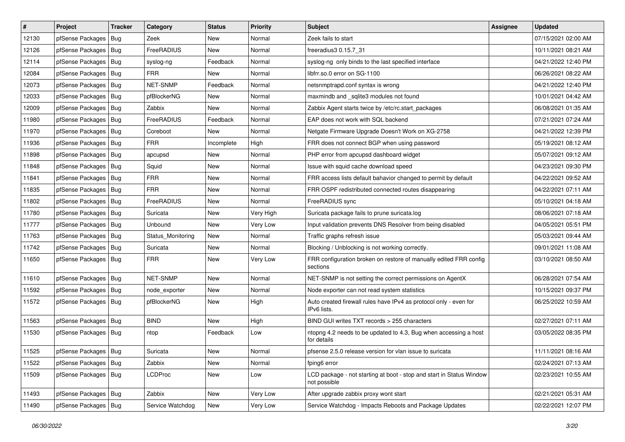| $\vert$ # | Project                | <b>Tracker</b> | Category          | <b>Status</b> | <b>Priority</b> | Subject                                                                              | <b>Assignee</b> | <b>Updated</b>      |
|-----------|------------------------|----------------|-------------------|---------------|-----------------|--------------------------------------------------------------------------------------|-----------------|---------------------|
| 12130     | pfSense Packages       | Bug            | Zeek              | New           | Normal          | Zeek fails to start                                                                  |                 | 07/15/2021 02:00 AM |
| 12126     | pfSense Packages       | Bug            | FreeRADIUS        | New           | Normal          | freeradius3 0.15.7 31                                                                |                 | 10/11/2021 08:21 AM |
| 12114     | pfSense Packages       | Bug            | syslog-ng         | Feedback      | Normal          | syslog-ng only binds to the last specified interface                                 |                 | 04/21/2022 12:40 PM |
| 12084     | pfSense Packages       | Bug            | <b>FRR</b>        | New           | Normal          | libfrr.so.0 error on SG-1100                                                         |                 | 06/26/2021 08:22 AM |
| 12073     | pfSense Packages       | Bug            | <b>NET-SNMP</b>   | Feedback      | Normal          | netsnmptrapd.conf syntax is wrong                                                    |                 | 04/21/2022 12:40 PM |
| 12033     | pfSense Packages       | Bug            | pfBlockerNG       | New           | Normal          | maxmindb and _sqlite3 modules not found                                              |                 | 10/01/2021 04:42 AM |
| 12009     | pfSense Packages   Bug |                | Zabbix            | New           | Normal          | Zabbix Agent starts twice by /etc/rc.start_packages                                  |                 | 06/08/2021 01:35 AM |
| 11980     | pfSense Packages       | Bug            | FreeRADIUS        | Feedback      | Normal          | EAP does not work with SQL backend                                                   |                 | 07/21/2021 07:24 AM |
| 11970     | pfSense Packages       | Bug            | Coreboot          | New           | Normal          | Netgate Firmware Upgrade Doesn't Work on XG-2758                                     |                 | 04/21/2022 12:39 PM |
| 11936     | pfSense Packages       | Bug            | <b>FRR</b>        | Incomplete    | High            | FRR does not connect BGP when using password                                         |                 | 05/19/2021 08:12 AM |
| 11898     | pfSense Packages       | Bug            | apcupsd           | New           | Normal          | PHP error from apcupsd dashboard widget                                              |                 | 05/07/2021 09:12 AM |
| 11848     | pfSense Packages       | Bug            | Squid             | New           | Normal          | Issue with squid cache download speed                                                |                 | 04/23/2021 09:30 PM |
| 11841     | pfSense Packages       | Bug            | <b>FRR</b>        | New           | Normal          | FRR access lists default bahavior changed to permit by default                       |                 | 04/22/2021 09:52 AM |
| 11835     | pfSense Packages       | Bug            | <b>FRR</b>        | New           | Normal          | FRR OSPF redistributed connected routes disappearing                                 |                 | 04/22/2021 07:11 AM |
| 11802     | pfSense Packages       | Bug            | FreeRADIUS        | New           | Normal          | FreeRADIUS sync                                                                      |                 | 05/10/2021 04:18 AM |
| 11780     | pfSense Packages       | Bug            | Suricata          | New           | Very High       | Suricata package fails to prune suricata.log                                         |                 | 08/06/2021 07:18 AM |
| 11777     | pfSense Packages       | Bug            | Unbound           | New           | Very Low        | Input validation prevents DNS Resolver from being disabled                           |                 | 04/05/2021 05:51 PM |
| 11763     | pfSense Packages       | Bug            | Status_Monitoring | <b>New</b>    | Normal          | Traffic graphs refresh issue                                                         |                 | 05/03/2021 09:44 AM |
| 11742     | pfSense Packages       | Bug            | Suricata          | New           | Normal          | Blocking / Unblocking is not working correctly.                                      |                 | 09/01/2021 11:08 AM |
| 11650     | pfSense Packages   Bug |                | <b>FRR</b>        | New           | Very Low        | FRR configuration broken on restore of manually edited FRR config<br>sections        |                 | 03/10/2021 08:50 AM |
| 11610     | pfSense Packages       | Bug            | NET-SNMP          | New           | Normal          | NET-SNMP is not setting the correct permissions on AgentX                            |                 | 06/28/2021 07:54 AM |
| 11592     | pfSense Packages       | Bug            | node exporter     | New           | Normal          | Node exporter can not read system statistics                                         |                 | 10/15/2021 09:37 PM |
| 11572     | pfSense Packages       | Bug            | pfBlockerNG       | New           | High            | Auto created firewall rules have IPv4 as protocol only - even for<br>IPv6 lists.     |                 | 06/25/2022 10:59 AM |
| 11563     | pfSense Packages       | Bug            | <b>BIND</b>       | <b>New</b>    | High            | BIND GUI writes TXT records > 255 characters                                         |                 | 02/27/2021 07:11 AM |
| 11530     | pfSense Packages       | Bug            | ntop              | Feedback      | Low             | ntopng 4.2 needs to be updated to 4.3, Bug when accessing a host<br>for details      |                 | 03/05/2022 08:35 PM |
| 11525     | pfSense Packages   Bug |                | Suricata          | New           | Normal          | pfsense 2.5.0 release version for vlan issue to suricata                             |                 | 11/11/2021 08:16 AM |
| 11522     | pfSense Packages   Bug |                | Zabbix            | New           | Normal          | fping6 error                                                                         |                 | 02/24/2021 07:13 AM |
| 11509     | pfSense Packages   Bug |                | <b>LCDProc</b>    | New           | Low             | LCD package - not starting at boot - stop and start in Status Window<br>not possible |                 | 02/23/2021 10:55 AM |
| 11493     | pfSense Packages   Bug |                | Zabbix            | New           | Very Low        | After upgrade zabbix proxy wont start                                                |                 | 02/21/2021 05:31 AM |
| 11490     | pfSense Packages   Bug |                | Service Watchdog  | New           | Very Low        | Service Watchdog - Impacts Reboots and Package Updates                               |                 | 02/22/2021 12:07 PM |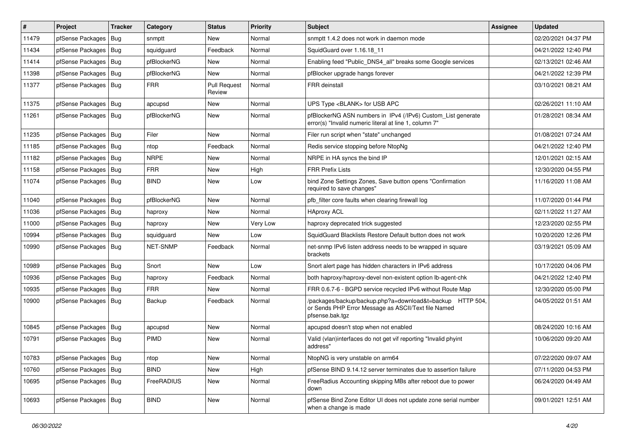| $\vert$ # | Project                | <b>Tracker</b> | Category        | <b>Status</b>                 | <b>Priority</b> | Subject                                                                                                                             | <b>Assignee</b> | <b>Updated</b>      |
|-----------|------------------------|----------------|-----------------|-------------------------------|-----------------|-------------------------------------------------------------------------------------------------------------------------------------|-----------------|---------------------|
| 11479     | pfSense Packages       | Bug            | snmptt          | New                           | Normal          | snmptt 1.4.2 does not work in daemon mode                                                                                           |                 | 02/20/2021 04:37 PM |
| 11434     | pfSense Packages       | Bug            | squidguard      | Feedback                      | Normal          | SquidGuard over 1.16.18 11                                                                                                          |                 | 04/21/2022 12:40 PM |
| 11414     | pfSense Packages       | Bug            | pfBlockerNG     | New                           | Normal          | Enabling feed "Public_DNS4_all" breaks some Google services                                                                         |                 | 02/13/2021 02:46 AM |
| 11398     | pfSense Packages       | Bug            | pfBlockerNG     | New                           | Normal          | pfBlocker upgrade hangs forever                                                                                                     |                 | 04/21/2022 12:39 PM |
| 11377     | pfSense Packages       | <b>Bug</b>     | <b>FRR</b>      | <b>Pull Request</b><br>Review | Normal          | <b>FRR</b> deinstall                                                                                                                |                 | 03/10/2021 08:21 AM |
| 11375     | pfSense Packages       | Bug            | apcupsd         | <b>New</b>                    | Normal          | UPS Type <blank> for USB APC</blank>                                                                                                |                 | 02/26/2021 11:10 AM |
| 11261     | pfSense Packages       | <b>Bug</b>     | pfBlockerNG     | <b>New</b>                    | Normal          | pfBlockerNG ASN numbers in IPv4 (/IPv6) Custom_List generate<br>error(s) "Invalid numeric literal at line 1, column 7"              |                 | 01/28/2021 08:34 AM |
| 11235     | pfSense Packages       | Bug            | Filer           | New                           | Normal          | Filer run script when "state" unchanged                                                                                             |                 | 01/08/2021 07:24 AM |
| 11185     | pfSense Packages       | <b>Bug</b>     | ntop            | Feedback                      | Normal          | Redis service stopping before NtopNg                                                                                                |                 | 04/21/2022 12:40 PM |
| 11182     | pfSense Packages       | Bug            | <b>NRPE</b>     | <b>New</b>                    | Normal          | NRPE in HA syncs the bind IP                                                                                                        |                 | 12/01/2021 02:15 AM |
| 11158     | pfSense Packages       | Bug            | <b>FRR</b>      | New                           | High            | <b>FRR Prefix Lists</b>                                                                                                             |                 | 12/30/2020 04:55 PM |
| 11074     | pfSense Packages       | Bug            | <b>BIND</b>     | New                           | Low             | bind Zone Settings Zones, Save button opens "Confirmation<br>required to save changes"                                              |                 | 11/16/2020 11:08 AM |
| 11040     | pfSense Packages       | Bug            | pfBlockerNG     | <b>New</b>                    | Normal          | pfb filter core faults when clearing firewall log                                                                                   |                 | 11/07/2020 01:44 PM |
| 11036     | pfSense Packages       | Bug            | haproxy         | New                           | Normal          | <b>HAproxy ACL</b>                                                                                                                  |                 | 02/11/2022 11:27 AM |
| 11000     | pfSense Packages       | Bug            | haproxy         | <b>New</b>                    | Very Low        | haproxy deprecated trick suggested                                                                                                  |                 | 12/23/2020 02:55 PM |
| 10994     | pfSense Packages       | Bug            | squidguard      | New                           | Low             | SquidGuard Blacklists Restore Default button does not work                                                                          |                 | 10/20/2020 12:26 PM |
| 10990     | pfSense Packages   Bug |                | <b>NET-SNMP</b> | Feedback                      | Normal          | net-snmp IPv6 listen address needs to be wrapped in square<br>brackets                                                              |                 | 03/19/2021 05:09 AM |
| 10989     | pfSense Packages       | Bug            | Snort           | New                           | Low             | Snort alert page has hidden characters in IPv6 address                                                                              |                 | 10/17/2020 04:06 PM |
| 10936     | pfSense Packages       | Bug            | haproxy         | Feedback                      | Normal          | both haproxy/haproxy-devel non-existent option lb-agent-chk                                                                         |                 | 04/21/2022 12:40 PM |
| 10935     | pfSense Packages       | Bug            | <b>FRR</b>      | <b>New</b>                    | Normal          | FRR 0.6.7-6 - BGPD service recycled IPv6 without Route Map                                                                          |                 | 12/30/2020 05:00 PM |
| 10900     | pfSense Packages       | Bug            | Backup          | Feedback                      | Normal          | /packages/backup/backup.php?a=download&t=backup HTTP 504,<br>or Sends PHP Error Message as ASCII/Text file Named<br>pfsense.bak.tgz |                 | 04/05/2022 01:51 AM |
| 10845     | pfSense Packages       | <b>Bug</b>     | apcupsd         | New                           | Normal          | apcupsd doesn't stop when not enabled                                                                                               |                 | 08/24/2020 10:16 AM |
| 10791     | pfSense Packages       | Bug            | PIMD            | New                           | Normal          | Valid (vlan)interfaces do not get vif reporting "Invalid phyint<br>address"                                                         |                 | 10/06/2020 09:20 AM |
| 10783     | pfSense Packages   Bug |                | ntop            | New                           | Normal          | NtopNG is very unstable on arm64                                                                                                    |                 | 07/22/2020 09:07 AM |
| 10760     | pfSense Packages       | Bug            | <b>BIND</b>     | New                           | High            | pfSense BIND 9.14.12 server terminates due to assertion failure                                                                     |                 | 07/11/2020 04:53 PM |
| 10695     | pfSense Packages       | Bug            | FreeRADIUS      | New                           | Normal          | FreeRadius Accounting skipping MBs after reboot due to power<br>down                                                                |                 | 06/24/2020 04:49 AM |
| 10693     | pfSense Packages   Bug |                | <b>BIND</b>     | New                           | Normal          | pfSense Bind Zone Editor UI does not update zone serial number<br>when a change is made                                             |                 | 09/01/2021 12:51 AM |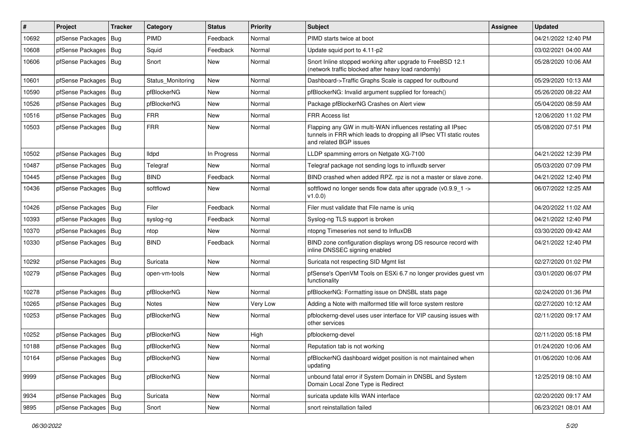| #     | Project                | <b>Tracker</b> | Category          | <b>Status</b> | <b>Priority</b> | Subject                                                                                                                                                     | <b>Assignee</b> | <b>Updated</b>      |
|-------|------------------------|----------------|-------------------|---------------|-----------------|-------------------------------------------------------------------------------------------------------------------------------------------------------------|-----------------|---------------------|
| 10692 | pfSense Packages       | Bug            | PIMD              | Feedback      | Normal          | PIMD starts twice at boot                                                                                                                                   |                 | 04/21/2022 12:40 PM |
| 10608 | pfSense Packages       | Bug            | Squid             | Feedback      | Normal          | Update squid port to 4.11-p2                                                                                                                                |                 | 03/02/2021 04:00 AM |
| 10606 | pfSense Packages       | Bug            | Snort             | New           | Normal          | Snort Inline stopped working after upgrade to FreeBSD 12.1<br>(network traffic blocked after heavy load randomly)                                           |                 | 05/28/2020 10:06 AM |
| 10601 | pfSense Packages       | Bug            | Status_Monitoring | New           | Normal          | Dashboard->Traffic Graphs Scale is capped for outbound                                                                                                      |                 | 05/29/2020 10:13 AM |
| 10590 | pfSense Packages       | <b>Bug</b>     | pfBlockerNG       | New           | Normal          | pfBlockerNG: Invalid argument supplied for foreach()                                                                                                        |                 | 05/26/2020 08:22 AM |
| 10526 | pfSense Packages   Bug |                | pfBlockerNG       | <b>New</b>    | Normal          | Package pfBlockerNG Crashes on Alert view                                                                                                                   |                 | 05/04/2020 08:59 AM |
| 10516 | pfSense Packages       | Bug            | <b>FRR</b>        | <b>New</b>    | Normal          | <b>FRR Access list</b>                                                                                                                                      |                 | 12/06/2020 11:02 PM |
| 10503 | pfSense Packages       | Bug            | <b>FRR</b>        | New           | Normal          | Flapping any GW in multi-WAN influences restating all IPsec<br>tunnels in FRR which leads to dropping all IPsec VTI static routes<br>and related BGP issues |                 | 05/08/2020 07:51 PM |
| 10502 | pfSense Packages       | <b>Bug</b>     | lldpd             | In Progress   | Normal          | LLDP spamming errors on Netgate XG-7100                                                                                                                     |                 | 04/21/2022 12:39 PM |
| 10487 | pfSense Packages       | Bug            | Telegraf          | New           | Normal          | Telegraf package not sending logs to influxdb server                                                                                                        |                 | 05/03/2020 07:09 PM |
| 10445 | pfSense Packages       | Bug            | <b>BIND</b>       | Feedback      | Normal          | BIND crashed when added RPZ. rpz is not a master or slave zone.                                                                                             |                 | 04/21/2022 12:40 PM |
| 10436 | pfSense Packages       | Bug            | softflowd         | New           | Normal          | softflowd no longer sends flow data after upgrade ( $v0.9.9$ 1 -><br>v1.0.0                                                                                 |                 | 06/07/2022 12:25 AM |
| 10426 | pfSense Packages       | Bug            | Filer             | Feedback      | Normal          | Filer must validate that File name is unig                                                                                                                  |                 | 04/20/2022 11:02 AM |
| 10393 | pfSense Packages       | Bug            | syslog-ng         | Feedback      | Normal          | Syslog-ng TLS support is broken                                                                                                                             |                 | 04/21/2022 12:40 PM |
| 10370 | pfSense Packages       | <b>Bug</b>     | ntop              | New           | Normal          | ntopng Timeseries not send to InfluxDB                                                                                                                      |                 | 03/30/2020 09:42 AM |
| 10330 | pfSense Packages       | <b>Bug</b>     | <b>BIND</b>       | Feedback      | Normal          | BIND zone configuration displays wrong DS resource record with<br>inline DNSSEC signing enabled                                                             |                 | 04/21/2022 12:40 PM |
| 10292 | pfSense Packages       | <b>Bug</b>     | Suricata          | <b>New</b>    | Normal          | Suricata not respecting SID Mgmt list                                                                                                                       |                 | 02/27/2020 01:02 PM |
| 10279 | pfSense Packages       | Bug            | open-vm-tools     | New           | Normal          | pfSense's OpenVM Tools on ESXi 6.7 no longer provides guest vm<br>functionality                                                                             |                 | 03/01/2020 06:07 PM |
| 10278 | pfSense Packages       | <b>Bug</b>     | pfBlockerNG       | New           | Normal          | pfBlockerNG: Formatting issue on DNSBL stats page                                                                                                           |                 | 02/24/2020 01:36 PM |
| 10265 | pfSense Packages       | <b>Bug</b>     | <b>Notes</b>      | New           | Very Low        | Adding a Note with malformed title will force system restore                                                                                                |                 | 02/27/2020 10:12 AM |
| 10253 | pfSense Packages       | <b>Bug</b>     | pfBlockerNG       | New           | Normal          | pfblockerng-devel uses user interface for VIP causing issues with<br>other services                                                                         |                 | 02/11/2020 09:17 AM |
| 10252 | pfSense Packages       | Bug            | pfBlockerNG       | <b>New</b>    | High            | pfblockerng-devel                                                                                                                                           |                 | 02/11/2020 05:18 PM |
| 10188 | pfSense Packages   Bug |                | pfBlockerNG       | New           | Normal          | Reputation tab is not working                                                                                                                               |                 | 01/24/2020 10:06 AM |
| 10164 | pfSense Packages   Bug |                | pfBlockerNG       | New           | Normal          | pfBlockerNG dashboard widget position is not maintained when<br>updating                                                                                    |                 | 01/06/2020 10:06 AM |
| 9999  | pfSense Packages   Bug |                | pfBlockerNG       | New           | Normal          | unbound fatal error if System Domain in DNSBL and System<br>Domain Local Zone Type is Redirect                                                              |                 | 12/25/2019 08:10 AM |
| 9934  | pfSense Packages       | Bug            | Suricata          | New           | Normal          | suricata update kills WAN interface                                                                                                                         |                 | 02/20/2020 09:17 AM |
| 9895  | pfSense Packages   Bug |                | Snort             | New           | Normal          | snort reinstallation failed                                                                                                                                 |                 | 06/23/2021 08:01 AM |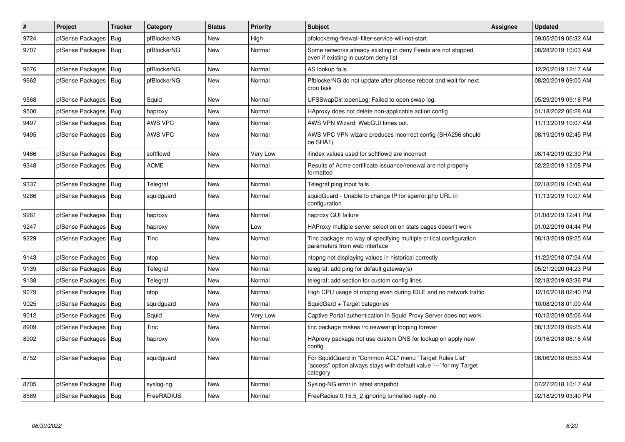| $\pmb{\#}$ | Project                | <b>Tracker</b> | Category    | <b>Status</b> | Priority | <b>Subject</b>                                                                                                                             | <b>Assignee</b> | <b>Updated</b>      |
|------------|------------------------|----------------|-------------|---------------|----------|--------------------------------------------------------------------------------------------------------------------------------------------|-----------------|---------------------|
| 9724       | pfSense Packages       | <b>Bug</b>     | pfBlockerNG | <b>New</b>    | High     | pfblockerng-firewall-filter-service-will-not-start                                                                                         |                 | 09/05/2019 06:32 AM |
| 9707       | pfSense Packages   Bug |                | pfBlockerNG | New           | Normal   | Some networks already existing in deny Feeds are not stopped<br>even if existing in custom deny list                                       |                 | 08/28/2019 10:03 AM |
| 9676       | pfSense Packages       | Bug            | pfBlockerNG | <b>New</b>    | Normal   | AS lookup fails                                                                                                                            |                 | 12/26/2019 12:17 AM |
| 9662       | pfSense Packages   Bug |                | pfBlockerNG | New           | Normal   | PfblockerNG do not update after pfsense reboot and wait for next<br>cron task                                                              |                 | 08/20/2019 09:00 AM |
| 9568       | pfSense Packages       | Bug            | Squid       | <b>New</b>    | Normal   | UFSSwapDir::openLog: Failed to open swap log.                                                                                              |                 | 05/29/2019 09:18 PM |
| 9500       | pfSense Packages       | Bug            | haproxy     | <b>New</b>    | Normal   | HAproxy does not delete non-applicable action config                                                                                       |                 | 01/18/2022 06:28 AM |
| 9497       | pfSense Packages       | Bug            | AWS VPC     | New           | Normal   | AWS VPN Wizard: WebGUI times out.                                                                                                          |                 | 11/13/2019 10:07 AM |
| 9495       | pfSense Packages       | Bug            | AWS VPC     | New           | Normal   | AWS VPC VPN wizard produces incorrect config (SHA256 should<br>be SHA1)                                                                    |                 | 08/19/2019 02:45 PM |
| 9486       | pfSense Packages       | Bug            | softflowd   | <b>New</b>    | Very Low | ifindex values used for softflowd are incorrect                                                                                            |                 | 08/14/2019 02:30 PM |
| 9348       | pfSense Packages       | Bug            | <b>ACME</b> | New           | Normal   | Results of Acme certificate issuance/renewal are not properly<br>formatted                                                                 |                 | 02/22/2019 12:08 PM |
| 9337       | pfSense Packages       | Bug            | Telegraf    | New           | Normal   | Telegraf ping input fails                                                                                                                  |                 | 02/18/2019 10:40 AM |
| 9286       | pfSense Packages       | Bug            | squidquard  | <b>New</b>    | Normal   | squidGuard - Unable to change IP for sgerror.php URL in<br>configuration                                                                   |                 | 11/13/2019 10:07 AM |
| 9261       | pfSense Packages       | Bug            | haproxy     | New           | Normal   | haproxy GUI failure                                                                                                                        |                 | 01/08/2019 12:41 PM |
| 9247       | pfSense Packages       | <b>Bug</b>     | haproxy     | <b>New</b>    | Low      | HAProxy multiple server selection on stats pages doesn't work                                                                              |                 | 01/02/2019 04:44 PM |
| 9229       | pfSense Packages   Bug |                | Tinc        | New           | Normal   | Tinc package: no way of specifying multiple critical configuration<br>parameters from web interface                                        |                 | 08/13/2019 09:25 AM |
| 9143       | pfSense Packages       | <b>Bug</b>     | ntop        | <b>New</b>    | Normal   | ntopng not displaying values in historical correctly                                                                                       |                 | 11/22/2018 07:24 AM |
| 9139       | pfSense Packages   Bug |                | Telegraf    | New           | Normal   | telegraf: add ping for default gateway(s)                                                                                                  |                 | 05/21/2020 04:23 PM |
| 9138       | pfSense Packages   Bug |                | Telegraf    | <b>New</b>    | Normal   | telegraf: add section for custom config lines                                                                                              |                 | 02/18/2019 03:36 PM |
| 9079       | pfSense Packages       | Bug            | ntop        | <b>New</b>    | Normal   | High CPU usage of ntopng even during IDLE and no network traffic                                                                           |                 | 12/16/2018 02:40 PM |
| 9025       | pfSense Packages       | Bug            | squidguard  | New           | Normal   | SquidGard + Target categories                                                                                                              |                 | 10/08/2018 01:00 AM |
| 9012       | pfSense Packages       | Bug            | Squid       | New           | Very Low | Captive Portal authentication in Squid Proxy Server does not work                                                                          |                 | 10/12/2019 05:06 AM |
| 8909       | pfSense Packages       | <b>Bug</b>     | Tinc        | New           | Normal   | tinc package makes /rc.newwanip looping forever                                                                                            |                 | 08/13/2019 09:25 AM |
| 8902       | pfSense Packages       | Bug            | haproxy     | New           | Normal   | HAproxy package not use custom DNS for lookup on apply new<br>config                                                                       |                 | 09/16/2018 08:16 AM |
| 8752       | pfSense Packages   Bug |                | squidguard  | New           | Normal   | For SquidGuard in "Common ACL" menu "Target Rules List"<br>'access" option always stays with default value '---' for my Target<br>category |                 | 08/06/2018 05:53 AM |
| 8705       | pfSense Packages   Bug |                | syslog-ng   | <b>New</b>    | Normal   | Syslog-NG error in latest snapshot                                                                                                         |                 | 07/27/2018 10:17 AM |
| 8589       | pfSense Packages   Bug |                | FreeRADIUS  | New           | Normal   | FreeRadius 0.15.5 2 ignoring tunnelled-reply=no                                                                                            |                 | 02/18/2019 03:40 PM |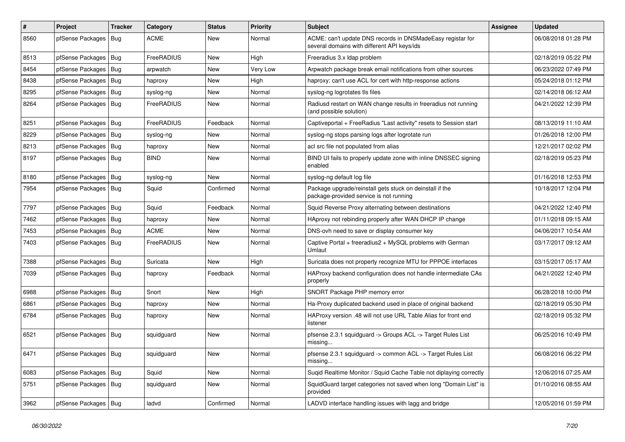| $\#$ | Project                | <b>Tracker</b> | Category    | <b>Status</b> | <b>Priority</b> | <b>Subject</b>                                                                                            | Assignee | <b>Updated</b>      |
|------|------------------------|----------------|-------------|---------------|-----------------|-----------------------------------------------------------------------------------------------------------|----------|---------------------|
| 8560 | pfSense Packages       | Bug            | <b>ACME</b> | <b>New</b>    | Normal          | ACME: can't update DNS records in DNSMadeEasy registar for<br>several domains with different API keys/ids |          | 06/08/2018 01:28 PM |
| 8513 | pfSense Packages   Bug |                | FreeRADIUS  | <b>New</b>    | High            | Freeradius 3.x Idap problem                                                                               |          | 02/18/2019 05:22 PM |
| 8454 | pfSense Packages   Bug |                | arpwatch    | New           | Very Low        | Arpwatch package break email notifications from other sources                                             |          | 06/23/2022 07:49 PM |
| 8438 | pfSense Packages       | Bug            | haproxy     | <b>New</b>    | High            | haproxy: can't use ACL for cert with http-response actions                                                |          | 05/24/2018 01:12 PM |
| 8295 | pfSense Packages   Bug |                | syslog-ng   | <b>New</b>    | Normal          | syslog-ng logrotates tls files                                                                            |          | 02/14/2018 06:12 AM |
| 8264 | pfSense Packages   Bug |                | FreeRADIUS  | <b>New</b>    | Normal          | Radiusd restart on WAN change results in freeradius not running<br>(and possible solution)                |          | 04/21/2022 12:39 PM |
| 8251 | pfSense Packages   Bug |                | FreeRADIUS  | Feedback      | Normal          | Captiveportal + FreeRadius "Last activity" resets to Session start                                        |          | 08/13/2019 11:10 AM |
| 8229 | pfSense Packages   Bug |                | syslog-ng   | <b>New</b>    | Normal          | syslog-ng stops parsing logs after logrotate run                                                          |          | 01/26/2018 12:00 PM |
| 8213 | pfSense Packages   Bug |                | haproxy     | New           | Normal          | acl src file not populated from alias                                                                     |          | 12/21/2017 02:02 PM |
| 8197 | pfSense Packages   Bug |                | <b>BIND</b> | New           | Normal          | BIND UI fails to properly update zone with inline DNSSEC signing<br>enabled                               |          | 02/18/2019 05:23 PM |
| 8180 | pfSense Packages   Bug |                | syslog-ng   | <b>New</b>    | Normal          | syslog-ng default log file                                                                                |          | 01/16/2018 12:53 PM |
| 7954 | pfSense Packages   Bug |                | Squid       | Confirmed     | Normal          | Package upgrade/reinstall gets stuck on deinstall if the<br>package-provided service is not running       |          | 10/18/2017 12:04 PM |
| 7797 | pfSense Packages   Bug |                | Squid       | Feedback      | Normal          | Squid Reverse Proxy alternating between destinations                                                      |          | 04/21/2022 12:40 PM |
| 7462 | pfSense Packages   Bug |                | haproxy     | <b>New</b>    | Normal          | HAproxy not rebinding properly after WAN DHCP IP change                                                   |          | 01/11/2018 09:15 AM |
| 7453 | pfSense Packages   Bug |                | <b>ACME</b> | New           | Normal          | DNS-ovh need to save or display consumer key                                                              |          | 04/06/2017 10:54 AM |
| 7403 | pfSense Packages   Bug |                | FreeRADIUS  | <b>New</b>    | Normal          | Captive Portal + freeradius2 + MySQL problems with German<br>Umlaut                                       |          | 03/17/2017 09:12 AM |
| 7388 | pfSense Packages   Bug |                | Suricata    | <b>New</b>    | High            | Suricata does not property recognize MTU for PPPOE interfaces                                             |          | 03/15/2017 05:17 AM |
| 7039 | pfSense Packages   Bug |                | haproxy     | Feedback      | Normal          | HAProxy backend configuration does not handle intermediate CAs<br>properly                                |          | 04/21/2022 12:40 PM |
| 6988 | pfSense Packages   Bug |                | Snort       | <b>New</b>    | High            | SNORT Package PHP memory error                                                                            |          | 06/28/2018 10:00 PM |
| 6861 | pfSense Packages   Bug |                | haproxy     | <b>New</b>    | Normal          | Ha-Proxy duplicated backend used in place of original backend                                             |          | 02/18/2019 05:30 PM |
| 6784 | pfSense Packages   Bug |                | haproxy     | <b>New</b>    | Normal          | HAProxy version .48 will not use URL Table Alias for front end<br>listener                                |          | 02/18/2019 05:32 PM |
| 6521 | pfSense Packages   Bug |                | squidguard  | <b>New</b>    | Normal          | pfsense 2.3.1 squidguard -> Groups ACL -> Target Rules List<br>missing                                    |          | 06/25/2016 10:49 PM |
| 6471 | pfSense Packages   Bug |                | squidguard  | New           | Normal          | pfsense 2.3.1 squidguard -> common ACL -> Target Rules List<br>missing                                    |          | 06/08/2016 06:22 PM |
| 6083 | pfSense Packages   Bug |                | Squid       | New           | Normal          | Suqid Realtime Monitor / Squid Cache Table not diplaying correctly                                        |          | 12/06/2016 07:25 AM |
| 5751 | pfSense Packages   Bug |                | squidguard  | New           | Normal          | SquidGuard target categories not saved when long "Domain List" is<br>provided                             |          | 01/10/2016 08:55 AM |
| 3962 | pfSense Packages   Bug |                | ladvd       | Confirmed     | Normal          | LADVD interface handling issues with lagg and bridge                                                      |          | 12/05/2016 01:59 PM |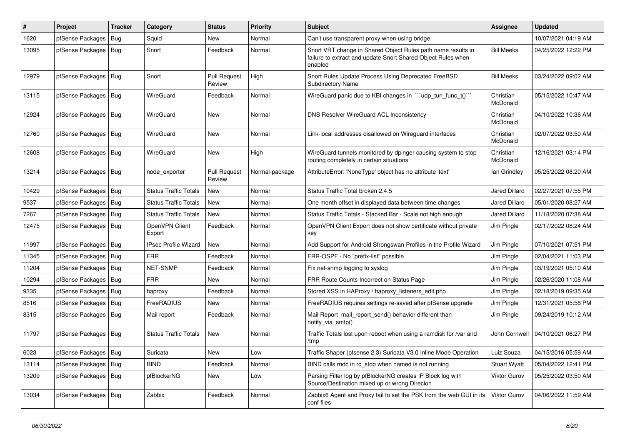| $\sharp$ | Project                | <b>Tracker</b> | Category                     | <b>Status</b>                 | <b>Priority</b> | <b>Subject</b>                                                                                                                          | Assignee              | <b>Updated</b>      |
|----------|------------------------|----------------|------------------------------|-------------------------------|-----------------|-----------------------------------------------------------------------------------------------------------------------------------------|-----------------------|---------------------|
| 1620     | pfSense Packages       | Bug            | Squid                        | <b>New</b>                    | Normal          | Can't use transparent proxy when using bridge.                                                                                          |                       | 10/07/2021 04:19 AM |
| 13095    | pfSense Packages       | Bug            | Snort                        | Feedback                      | Normal          | Snort VRT change in Shared Object Rules path name results in<br>failure to extract and update Snort Shared Object Rules when<br>enabled | <b>Bill Meeks</b>     | 04/25/2022 12:22 PM |
| 12979    | pfSense Packages   Bug |                | Snort                        | <b>Pull Request</b><br>Review | High            | Snort Rules Update Process Using Deprecated FreeBSD<br><b>Subdirectory Name</b>                                                         | <b>Bill Meeks</b>     | 03/24/2022 09:02 AM |
| 13115    | pfSense Packages       | Bug            | WireGuard                    | Feedback                      | Normal          | WireGuard panic due to KBI changes in "'udp_tun_func_t()'"                                                                              | Christian<br>McDonald | 05/15/2022 10:47 AM |
| 12924    | pfSense Packages       | Bug            | <b>WireGuard</b>             | <b>New</b>                    | Normal          | <b>DNS Resolver WireGuard ACL Inconsistency</b>                                                                                         | Christian<br>McDonald | 04/10/2022 10:36 AM |
| 12760    | pfSense Packages   Bug |                | WireGuard                    | <b>New</b>                    | Normal          | Link-local addresses disallowed on Wireguard interfaces                                                                                 | Christian<br>McDonald | 02/07/2022 03:50 AM |
| 12608    | pfSense Packages       | Bug            | <b>WireGuard</b>             | <b>New</b>                    | High            | WireGuard tunnels monitored by dpinger causing system to stop<br>routing completely in certain situations                               | Christian<br>McDonald | 12/16/2021 03:14 PM |
| 13214    | pfSense Packages   Bug |                | node exporter                | <b>Pull Request</b><br>Review | Normal-package  | AttributeError: 'NoneType' object has no attribute 'text'                                                                               | lan Grindley          | 05/25/2022 08:20 AM |
| 10429    | pfSense Packages       | Bug            | <b>Status Traffic Totals</b> | <b>New</b>                    | Normal          | Status Traffic Total broken 2.4.5                                                                                                       | Jared Dillard         | 02/27/2021 07:55 PM |
| 9537     | pfSense Packages       | Bug            | <b>Status Traffic Totals</b> | <b>New</b>                    | Normal          | One month offset in displayed data between time changes                                                                                 | Jared Dillard         | 05/01/2020 08:27 AM |
| 7267     | pfSense Packages       | Bug            | <b>Status Traffic Totals</b> | <b>New</b>                    | Normal          | Status Traffic Totals - Stacked Bar - Scale not high enough                                                                             | <b>Jared Dillard</b>  | 11/18/2020 07:38 AM |
| 12475    | pfSense Packages   Bug |                | OpenVPN Client<br>Export     | Feedback                      | Normal          | OpenVPN Client Export does not show certificate without private<br>key                                                                  | Jim Pingle            | 02/17/2022 08:24 AM |
| 11997    | pfSense Packages       | Bug            | <b>IPsec Profile Wizard</b>  | <b>New</b>                    | Normal          | Add Support for Android Strongswan Profiles in the Profile Wizard                                                                       | Jim Pingle            | 07/10/2021 07:51 PM |
| 11345    | pfSense Packages       | Bug            | <b>FRR</b>                   | Feedback                      | Normal          | FRR-OSPF - No "prefix-list" possible                                                                                                    | Jim Pingle            | 02/04/2021 11:03 PM |
| 11204    | pfSense Packages   Bug |                | <b>NET-SNMP</b>              | Feedback                      | Normal          | Fix net-snmp logging to syslog                                                                                                          | Jim Pingle            | 03/19/2021 05:10 AM |
| 10294    | pfSense Packages       | Bug            | <b>FRR</b>                   | New                           | Normal          | FRR Route Counts Incorrect on Status Page                                                                                               | Jim Pingle            | 02/26/2020 11:08 AM |
| 9335     | pfSense Packages       | Bug            | haproxy                      | Feedback                      | Normal          | Stored XSS in HAProxy / haproxy listeners edit.php                                                                                      | Jim Pingle            | 02/18/2019 09:35 AM |
| 8516     | pfSense Packages       | Bug            | FreeRADIUS                   | <b>New</b>                    | Normal          | FreeRADIUS requires settings re-saved after pfSense upgrade                                                                             | Jim Pingle            | 12/31/2021 05:58 PM |
| 8315     | pfSense Packages   Bug |                | Mail report                  | Feedback                      | Normal          | Mail Report mail report send() behavior different than<br>notify via smtp()                                                             | Jim Pingle            | 09/24/2019 10:12 AM |
| 11797    | pfSense Packages       | Bug            | <b>Status Traffic Totals</b> | New                           | Normal          | Traffic Totals lost upon reboot when using a ramdisk for /var and<br>/tmp                                                               | John Cornwell         | 04/10/2021 06:27 PM |
| 6023     | pfSense Packages       | Bug            | Suricata                     | <b>New</b>                    | Low             | Traffic Shaper (pfsense 2.3) Suricata V3.0 Inline Mode Operation                                                                        | Luiz Souza            | 04/15/2016 05:59 AM |
| 13114    | pfSense Packages       | Bug            | <b>BIND</b>                  | Feedback                      | Normal          | BIND calls rndc in rc stop when named is not running                                                                                    | <b>Stuart Wyatt</b>   | 05/04/2022 12:41 PM |
| 13209    | pfSense Packages   Bug |                | pfBlockerNG                  | <b>New</b>                    | Low             | Parsing Filter log by pfBlockerNG creates IP Block log with<br>Source/Destination mixed up or wrong Direcion                            | <b>Viktor Gurov</b>   | 05/25/2022 03:50 AM |
| 13034    | pfSense Packages       | Bug            | Zabbix                       | Feedback                      | Normal          | Zabbix6 Agent and Proxy fail to set the PSK from the web GUI in its<br>conf files                                                       | Viktor Gurov          | 04/06/2022 11:59 AM |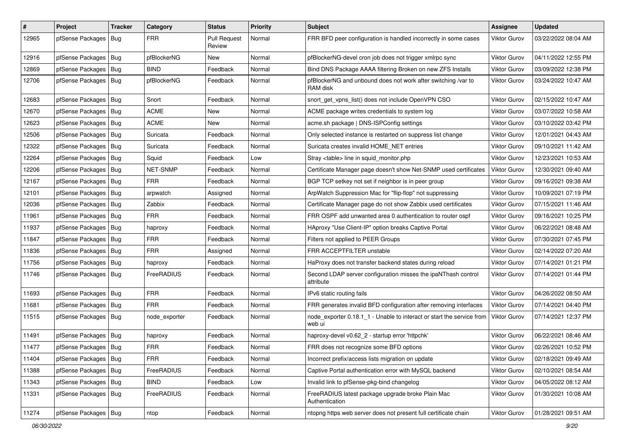| #     | Project                | Tracker | Category      | <b>Status</b>                 | <b>Priority</b> | <b>Subject</b>                                                                  | Assignee            | <b>Updated</b>      |
|-------|------------------------|---------|---------------|-------------------------------|-----------------|---------------------------------------------------------------------------------|---------------------|---------------------|
| 12965 | pfSense Packages       | Bug     | <b>FRR</b>    | <b>Pull Request</b><br>Review | Normal          | FRR BFD peer configuration is handled incorrectly in some cases                 | Viktor Gurov        | 03/22/2022 08:04 AM |
| 12916 | pfSense Packages   Bug |         | pfBlockerNG   | New                           | Normal          | pfBlockerNG-devel cron job does not trigger xmlrpc sync                         | <b>Viktor Gurov</b> | 04/11/2022 12:55 PM |
| 12869 | pfSense Packages   Bug |         | <b>BIND</b>   | Feedback                      | Normal          | Bind DNS Package AAAA filtering Broken on new ZFS Installs                      | Viktor Gurov        | 03/09/2022 12:38 PM |
| 12706 | pfSense Packages   Bug |         | pfBlockerNG   | Feedback                      | Normal          | pfBlockerNG and unbound does not work after switching /var to<br>RAM disk       | Viktor Gurov        | 03/24/2022 10:47 AM |
| 12683 | pfSense Packages   Bug |         | Snort         | Feedback                      | Normal          | snort get vpns list() does not include OpenVPN CSO                              | Viktor Gurov        | 02/15/2022 10:47 AM |
| 12670 | pfSense Packages       | Bug     | <b>ACME</b>   | <b>New</b>                    | Normal          | ACME package writes credentials to system log                                   | Viktor Gurov        | 03/07/2022 10:58 AM |
| 12623 | pfSense Packages   Bug |         | <b>ACME</b>   | New                           | Normal          | acme.sh package   DNS-ISPConfig settings                                        | Viktor Gurov        | 03/10/2022 03:42 PM |
| 12506 | pfSense Packages   Bug |         | Suricata      | Feedback                      | Normal          | Only selected instance is restarted on suppress list change                     | Viktor Gurov        | 12/01/2021 04:43 AM |
| 12322 | pfSense Packages   Bug |         | Suricata      | Feedback                      | Normal          | Suricata creates invalid HOME NET entries                                       | Viktor Gurov        | 09/10/2021 11:42 AM |
| 12264 | pfSense Packages   Bug |         | Squid         | Feedback                      | Low             | Stray <table> line in squid monitor.php</table>                                 | <b>Viktor Gurov</b> | 12/23/2021 10:53 AM |
| 12206 | pfSense Packages       | Bug     | NET-SNMP      | Feedback                      | Normal          | Certificate Manager page doesn't show Net-SNMP used certificates                | Viktor Gurov        | 12/30/2021 09:40 AM |
| 12167 | pfSense Packages   Bug |         | <b>FRR</b>    | Feedback                      | Normal          | BGP TCP setkey not set if neighbor is in peer group                             | Viktor Gurov        | 09/16/2021 09:38 AM |
| 12101 | pfSense Packages   Bug |         | arpwatch      | Assigned                      | Normal          | ArpWatch Suppression Mac for "flip-flop" not suppressing                        | Viktor Gurov        | 10/09/2021 07:19 PM |
| 12036 | pfSense Packages   Bug |         | Zabbix        | Feedback                      | Normal          | Certificate Manager page do not show Zabbix used certificates                   | <b>Viktor Gurov</b> | 07/15/2021 11:46 AM |
| 11961 | pfSense Packages   Bug |         | <b>FRR</b>    | Feedback                      | Normal          | FRR OSPF add unwanted area 0 authentication to router ospf                      | Viktor Gurov        | 09/16/2021 10:25 PM |
| 11937 | pfSense Packages   Bug |         | haproxy       | Feedback                      | Normal          | HAproxy "Use Client-IP" option breaks Captive Portal                            | Viktor Gurov        | 06/22/2021 08:48 AM |
| 11847 | pfSense Packages   Bug |         | <b>FRR</b>    | Feedback                      | Normal          | Filters not applied to PEER Groups                                              | Viktor Gurov        | 07/30/2021 07:45 PM |
| 11836 | pfSense Packages   Bug |         | <b>FRR</b>    | Assigned                      | Normal          | FRR ACCEPTFILTER unstable                                                       | <b>Viktor Gurov</b> | 02/14/2022 07:20 AM |
| 11756 | pfSense Packages       | Bug     | haproxy       | Feedback                      | Normal          | HaProxy does not transfer backend states during reload                          | <b>Viktor Gurov</b> | 07/14/2021 01:21 PM |
| 11746 | pfSense Packages   Bug |         | FreeRADIUS    | Feedback                      | Normal          | Second LDAP server configuration misses the ipaNThash control<br>attribute      | Viktor Gurov        | 07/14/2021 01:44 PM |
| 11693 | pfSense Packages   Bug |         | <b>FRR</b>    | Feedback                      | Normal          | IPv6 static routing fails                                                       | Viktor Gurov        | 04/26/2022 08:50 AM |
| 11681 | pfSense Packages   Bug |         | <b>FRR</b>    | Feedback                      | Normal          | FRR generates invalid BFD configuration after removing interfaces               | <b>Viktor Gurov</b> | 07/14/2021 04:40 PM |
| 11515 | pfSense Packages   Bug |         | node_exporter | Feedback                      | Normal          | node exporter 0.18.1 1 - Unable to interact or start the service from<br>web ui | Viktor Gurov        | 07/14/2021 12:37 PM |
| 11491 | pfSense Packages   Bug |         | haproxy       | Feedback                      | Normal          | haproxy-devel v0.62 2 - startup error 'httpchk'                                 | <b>Viktor Gurov</b> | 06/22/2021 08:46 AM |
| 11477 | pfSense Packages   Bug |         | <b>FRR</b>    | Feedback                      | Normal          | FRR does not recognize some BFD options                                         | Viktor Gurov        | 02/26/2021 10:52 PM |
| 11404 | pfSense Packages   Bug |         | <b>FRR</b>    | Feedback                      | Normal          | Incorrect prefix/access lists migration on update                               | Viktor Gurov        | 02/18/2021 09:49 AM |
| 11388 | pfSense Packages   Bug |         | FreeRADIUS    | Feedback                      | Normal          | Captive Portal authentication error with MySQL backend                          | Viktor Gurov        | 02/10/2021 08:54 AM |
| 11343 | pfSense Packages   Bug |         | <b>BIND</b>   | Feedback                      | Low             | Invalid link to pfSense-pkg-bind changelog                                      | <b>Viktor Gurov</b> | 04/05/2022 08:12 AM |
| 11331 | pfSense Packages   Bug |         | FreeRADIUS    | Feedback                      | Normal          | FreeRADIUS latest package upgrade broke Plain Mac<br>Authentication             | Viktor Gurov        | 01/30/2021 10:08 AM |
| 11274 | pfSense Packages   Bug |         | ntop          | Feedback                      | Normal          | ntopng https web server does not present full certificate chain                 | Viktor Gurov        | 01/28/2021 09:51 AM |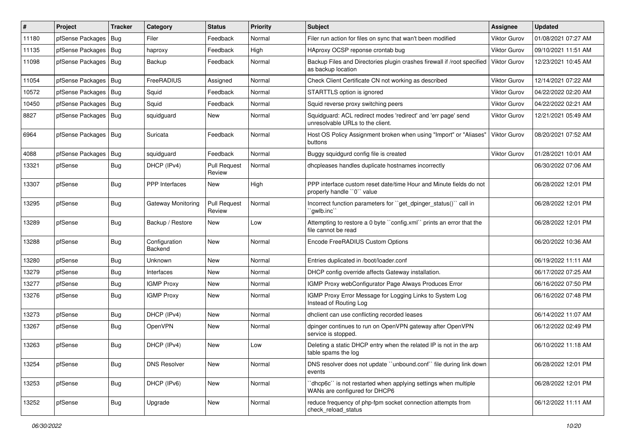| ∦     | Project                | <b>Tracker</b> | Category                 | <b>Status</b>                 | <b>Priority</b> | Subject                                                                                           | <b>Assignee</b>     | <b>Updated</b>      |
|-------|------------------------|----------------|--------------------------|-------------------------------|-----------------|---------------------------------------------------------------------------------------------------|---------------------|---------------------|
| 11180 | pfSense Packages       | Bug            | Filer                    | Feedback                      | Normal          | Filer run action for files on sync that wan't been modified                                       | <b>Viktor Gurov</b> | 01/08/2021 07:27 AM |
| 11135 | pfSense Packages       | Bug            | haproxy                  | Feedback                      | High            | HAproxy OCSP reponse crontab bug                                                                  | <b>Viktor Gurov</b> | 09/10/2021 11:51 AM |
| 11098 | pfSense Packages       | Bug            | Backup                   | Feedback                      | Normal          | Backup Files and Directories plugin crashes firewall if /root specified<br>as backup location     | <b>Viktor Gurov</b> | 12/23/2021 10:45 AM |
| 11054 | pfSense Packages       | Bug            | FreeRADIUS               | Assigned                      | Normal          | Check Client Certificate CN not working as described                                              | Viktor Gurov        | 12/14/2021 07:22 AM |
| 10572 | pfSense Packages       | <b>Bug</b>     | Squid                    | Feedback                      | Normal          | STARTTLS option is ignored                                                                        | <b>Viktor Gurov</b> | 04/22/2022 02:20 AM |
| 10450 | pfSense Packages   Bug |                | Squid                    | Feedback                      | Normal          | Squid reverse proxy switching peers                                                               | <b>Viktor Gurov</b> | 04/22/2022 02:21 AM |
| 8827  | pfSense Packages       | <b>Bug</b>     | squidguard               | New                           | Normal          | Squidguard: ACL redirect modes 'redirect' and 'err page' send<br>unresolvable URLs to the client. | <b>Viktor Gurov</b> | 12/21/2021 05:49 AM |
| 6964  | pfSense Packages       | Bug            | Suricata                 | Feedback                      | Normal          | Host OS Policy Assignment broken when using "Import" or "Aliases"<br>buttons                      | Viktor Gurov        | 08/20/2021 07:52 AM |
| 4088  | pfSense Packages       | Bug            | squidguard               | Feedback                      | Normal          | Buggy squidgurd config file is created                                                            | <b>Viktor Gurov</b> | 01/28/2021 10:01 AM |
| 13321 | pfSense                | Bug            | DHCP (IPv4)              | <b>Pull Request</b><br>Review | Normal          | dhcpleases handles duplicate hostnames incorrectly                                                |                     | 06/30/2022 07:06 AM |
| 13307 | pfSense                | Bug            | <b>PPP</b> Interfaces    | New                           | High            | PPP interface custom reset date/time Hour and Minute fields do not<br>properly handle "0" value   |                     | 06/28/2022 12:01 PM |
| 13295 | pfSense                | Bug            | Gateway Monitoring       | <b>Pull Request</b><br>Review | Normal          | Incorrect function parameters for "get_dpinger_status()" call in<br>`qwlb.inc`                    |                     | 06/28/2022 12:01 PM |
| 13289 | pfSense                | <b>Bug</b>     | Backup / Restore         | <b>New</b>                    | Low             | Attempting to restore a 0 byte "config.xml" prints an error that the<br>file cannot be read       |                     | 06/28/2022 12:01 PM |
| 13288 | pfSense                | Bug            | Configuration<br>Backend | New                           | Normal          | Encode FreeRADIUS Custom Options                                                                  |                     | 06/20/2022 10:36 AM |
| 13280 | pfSense                | Bug            | <b>Unknown</b>           | <b>New</b>                    | Normal          | Entries duplicated in /boot/loader.conf                                                           |                     | 06/19/2022 11:11 AM |
| 13279 | pfSense                | <b>Bug</b>     | Interfaces               | New                           | Normal          | DHCP config override affects Gateway installation.                                                |                     | 06/17/2022 07:25 AM |
| 13277 | pfSense                | <b>Bug</b>     | <b>IGMP Proxy</b>        | New                           | Normal          | IGMP Proxy webConfigurator Page Always Produces Error                                             |                     | 06/16/2022 07:50 PM |
| 13276 | pfSense                | Bug            | <b>IGMP Proxy</b>        | New                           | Normal          | IGMP Proxy Error Message for Logging Links to System Log<br>Instead of Routing Log                |                     | 06/16/2022 07:48 PM |
| 13273 | pfSense                | Bug            | DHCP (IPv4)              | New                           | Normal          | dhclient can use conflicting recorded leases                                                      |                     | 06/14/2022 11:07 AM |
| 13267 | pfSense                | <b>Bug</b>     | OpenVPN                  | New                           | Normal          | dpinger continues to run on OpenVPN gateway after OpenVPN<br>service is stopped.                  |                     | 06/12/2022 02:49 PM |
| 13263 | pfSense                | Bug            | DHCP (IPv4)              | <b>New</b>                    | Low             | Deleting a static DHCP entry when the related IP is not in the arp<br>table spams the log         |                     | 06/10/2022 11:18 AM |
| 13254 | pfSense                | Bug            | <b>DNS Resolver</b>      | New                           | Normal          | DNS resolver does not update "unbound.conf" file during link down<br>events                       |                     | 06/28/2022 12:01 PM |
| 13253 | pfSense                | <b>Bug</b>     | DHCP (IPv6)              | New                           | Normal          | dhcp6c" is not restarted when applying settings when multiple<br>WANs are configured for DHCP6    |                     | 06/28/2022 12:01 PM |
| 13252 | pfSense                | <b>Bug</b>     | Upgrade                  | New                           | Normal          | reduce frequency of php-fpm socket connection attempts from<br>check_reload_status                |                     | 06/12/2022 11:11 AM |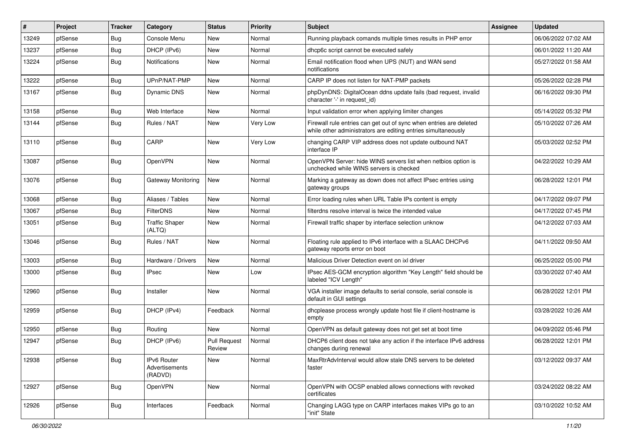| $\vert$ # | Project | <b>Tracker</b> | Category                                 | <b>Status</b>                 | <b>Priority</b> | <b>Subject</b>                                                                                                                      | <b>Assignee</b> | <b>Updated</b>      |
|-----------|---------|----------------|------------------------------------------|-------------------------------|-----------------|-------------------------------------------------------------------------------------------------------------------------------------|-----------------|---------------------|
| 13249     | pfSense | <b>Bug</b>     | Console Menu                             | New                           | Normal          | Running playback comands multiple times results in PHP error                                                                        |                 | 06/06/2022 07:02 AM |
| 13237     | pfSense | Bug            | DHCP (IPv6)                              | <b>New</b>                    | Normal          | dhcp6c script cannot be executed safely                                                                                             |                 | 06/01/2022 11:20 AM |
| 13224     | pfSense | Bug            | Notifications                            | New                           | Normal          | Email notification flood when UPS (NUT) and WAN send<br>notifications                                                               |                 | 05/27/2022 01:58 AM |
| 13222     | pfSense | <b>Bug</b>     | UPnP/NAT-PMP                             | New                           | Normal          | CARP IP does not listen for NAT-PMP packets                                                                                         |                 | 05/26/2022 02:28 PM |
| 13167     | pfSense | <b>Bug</b>     | Dynamic DNS                              | New                           | Normal          | phpDynDNS: DigitalOcean ddns update fails (bad request, invalid<br>character '-' in request id)                                     |                 | 06/16/2022 09:30 PM |
| 13158     | pfSense | <b>Bug</b>     | Web Interface                            | <b>New</b>                    | Normal          | Input validation error when applying limiter changes                                                                                |                 | 05/14/2022 05:32 PM |
| 13144     | pfSense | Bug            | Rules / NAT                              | New                           | Very Low        | Firewall rule entries can get out of sync when entries are deleted<br>while other administrators are editing entries simultaneously |                 | 05/10/2022 07:26 AM |
| 13110     | pfSense | <b>Bug</b>     | CARP                                     | New                           | Very Low        | changing CARP VIP address does not update outbound NAT<br>interface IP                                                              |                 | 05/03/2022 02:52 PM |
| 13087     | pfSense | Bug            | OpenVPN                                  | <b>New</b>                    | Normal          | OpenVPN Server: hide WINS servers list when netbios option is<br>unchecked while WINS servers is checked                            |                 | 04/22/2022 10:29 AM |
| 13076     | pfSense | <b>Bug</b>     | Gateway Monitoring                       | New                           | Normal          | Marking a gateway as down does not affect IPsec entries using<br>gateway groups                                                     |                 | 06/28/2022 12:01 PM |
| 13068     | pfSense | Bug            | Aliases / Tables                         | <b>New</b>                    | Normal          | Error loading rules when URL Table IPs content is empty                                                                             |                 | 04/17/2022 09:07 PM |
| 13067     | pfSense | Bug            | FilterDNS                                | New                           | Normal          | filterdns resolve interval is twice the intended value                                                                              |                 | 04/17/2022 07:45 PM |
| 13051     | pfSense | <b>Bug</b>     | <b>Traffic Shaper</b><br>(ALTQ)          | New                           | Normal          | Firewall traffic shaper by interface selection unknow                                                                               |                 | 04/12/2022 07:03 AM |
| 13046     | pfSense | Bug            | Rules / NAT                              | New                           | Normal          | Floating rule applied to IPv6 interface with a SLAAC DHCPv6<br>gateway reports error on boot                                        |                 | 04/11/2022 09:50 AM |
| 13003     | pfSense | <b>Bug</b>     | Hardware / Drivers                       | New                           | Normal          | Malicious Driver Detection event on ixl driver                                                                                      |                 | 06/25/2022 05:00 PM |
| 13000     | pfSense | Bug            | <b>IPsec</b>                             | New                           | Low             | IPsec AES-GCM encryption algorithm "Key Length" field should be<br>labeled "ICV Length"                                             |                 | 03/30/2022 07:40 AM |
| 12960     | pfSense | Bug            | Installer                                | New                           | Normal          | VGA installer image defaults to serial console, serial console is<br>default in GUI settings                                        |                 | 06/28/2022 12:01 PM |
| 12959     | pfSense | Bug            | DHCP (IPv4)                              | Feedback                      | Normal          | dhcplease process wrongly update host file if client-hostname is<br>empty                                                           |                 | 03/28/2022 10:26 AM |
| 12950     | pfSense | <b>Bug</b>     | Routing                                  | <b>New</b>                    | Normal          | OpenVPN as default gateway does not get set at boot time                                                                            |                 | 04/09/2022 05:46 PM |
| 12947     | pfSense | Bug            | DHCP (IPv6)                              | <b>Pull Request</b><br>Review | Normal          | DHCP6 client does not take any action if the interface IPv6 address<br>changes during renewal                                       |                 | 06/28/2022 12:01 PM |
| 12938     | pfSense | <b>Bug</b>     | IPv6 Router<br>Advertisements<br>(RADVD) | New                           | Normal          | MaxRtrAdvInterval would allow stale DNS servers to be deleted<br>faster                                                             |                 | 03/12/2022 09:37 AM |
| 12927     | pfSense | Bug            | OpenVPN                                  | New                           | Normal          | OpenVPN with OCSP enabled allows connections with revoked<br>certificates                                                           |                 | 03/24/2022 08:22 AM |
| 12926     | pfSense | Bug            | Interfaces                               | Feedback                      | Normal          | Changing LAGG type on CARP interfaces makes VIPs go to an<br>"init" State                                                           |                 | 03/10/2022 10:52 AM |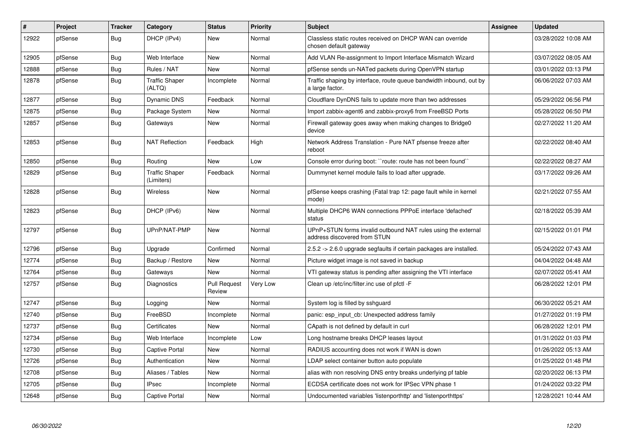| $\vert$ # | Project | <b>Tracker</b> | Category                            | <b>Status</b>                 | Priority | <b>Subject</b>                                                                                | Assignee | <b>Updated</b>      |
|-----------|---------|----------------|-------------------------------------|-------------------------------|----------|-----------------------------------------------------------------------------------------------|----------|---------------------|
| 12922     | pfSense | <b>Bug</b>     | DHCP (IPv4)                         | <b>New</b>                    | Normal   | Classless static routes received on DHCP WAN can override<br>chosen default gateway           |          | 03/28/2022 10:08 AM |
| 12905     | pfSense | Bug            | Web Interface                       | <b>New</b>                    | Normal   | Add VLAN Re-assignment to Import Interface Mismatch Wizard                                    |          | 03/07/2022 08:05 AM |
| 12888     | pfSense | <b>Bug</b>     | Rules / NAT                         | <b>New</b>                    | Normal   | pfSense sends un-NATed packets during OpenVPN startup                                         |          | 03/01/2022 03:13 PM |
| 12878     | pfSense | <b>Bug</b>     | <b>Traffic Shaper</b><br>(ALTQ)     | Incomplete                    | Normal   | Traffic shaping by interface, route queue bandwidth inbound, out by<br>a large factor.        |          | 06/06/2022 07:03 AM |
| 12877     | pfSense | <b>Bug</b>     | Dynamic DNS                         | Feedback                      | Normal   | Cloudflare DynDNS fails to update more than two addresses                                     |          | 05/29/2022 06:56 PM |
| 12875     | pfSense | <b>Bug</b>     | Package System                      | New                           | Normal   | Import zabbix-agent6 and zabbix-proxy6 from FreeBSD Ports                                     |          | 05/28/2022 06:50 PM |
| 12857     | pfSense | Bug            | Gateways                            | New                           | Normal   | Firewall gateway goes away when making changes to Bridge0<br>device                           |          | 02/27/2022 11:20 AM |
| 12853     | pfSense | Bug            | <b>NAT Reflection</b>               | Feedback                      | High     | Network Address Translation - Pure NAT pfsense freeze after<br>reboot                         |          | 02/22/2022 08:40 AM |
| 12850     | pfSense | <b>Bug</b>     | Routing                             | <b>New</b>                    | Low      | Console error during boot: "route: route has not been found"                                  |          | 02/22/2022 08:27 AM |
| 12829     | pfSense | Bug            | <b>Traffic Shaper</b><br>(Limiters) | Feedback                      | Normal   | Dummynet kernel module fails to load after upgrade.                                           |          | 03/17/2022 09:26 AM |
| 12828     | pfSense | <b>Bug</b>     | Wireless                            | New                           | Normal   | pfSense keeps crashing (Fatal trap 12: page fault while in kernel<br>mode)                    |          | 02/21/2022 07:55 AM |
| 12823     | pfSense | <b>Bug</b>     | DHCP (IPv6)                         | <b>New</b>                    | Normal   | Multiple DHCP6 WAN connections PPPoE interface 'defached'<br>status                           |          | 02/18/2022 05:39 AM |
| 12797     | pfSense | <b>Bug</b>     | UPnP/NAT-PMP                        | <b>New</b>                    | Normal   | UPnP+STUN forms invalid outbound NAT rules using the external<br>address discovered from STUN |          | 02/15/2022 01:01 PM |
| 12796     | pfSense | <b>Bug</b>     | Upgrade                             | Confirmed                     | Normal   | 2.5.2 -> 2.6.0 upgrade segfaults if certain packages are installed.                           |          | 05/24/2022 07:43 AM |
| 12774     | pfSense | <b>Bug</b>     | Backup / Restore                    | <b>New</b>                    | Normal   | Picture widget image is not saved in backup                                                   |          | 04/04/2022 04:48 AM |
| 12764     | pfSense | <b>Bug</b>     | Gateways                            | <b>New</b>                    | Normal   | VTI gateway status is pending after assigning the VTI interface                               |          | 02/07/2022 05:41 AM |
| 12757     | pfSense | Bug            | <b>Diagnostics</b>                  | <b>Pull Request</b><br>Review | Very Low | Clean up /etc/inc/filter.inc use of pfctl -F                                                  |          | 06/28/2022 12:01 PM |
| 12747     | pfSense | Bug            | Logging                             | New                           | Normal   | System log is filled by sshguard                                                              |          | 06/30/2022 05:21 AM |
| 12740     | pfSense | Bug            | FreeBSD                             | Incomplete                    | Normal   | panic: esp input cb: Unexpected address family                                                |          | 01/27/2022 01:19 PM |
| 12737     | pfSense | <b>Bug</b>     | Certificates                        | <b>New</b>                    | Normal   | CApath is not defined by default in curl                                                      |          | 06/28/2022 12:01 PM |
| 12734     | pfSense | <b>Bug</b>     | Web Interface                       | Incomplete                    | Low      | Long hostname breaks DHCP leases layout                                                       |          | 01/31/2022 01:03 PM |
| 12730     | pfSense | Bug            | <b>Captive Portal</b>               | <b>New</b>                    | Normal   | RADIUS accounting does not work if WAN is down                                                |          | 01/26/2022 05:13 AM |
| 12726     | pfSense | <b>Bug</b>     | Authentication                      | New                           | Normal   | LDAP select container button auto populate                                                    |          | 01/25/2022 01:48 PM |
| 12708     | pfSense | Bug            | Aliases / Tables                    | New                           | Normal   | alias with non resolving DNS entry breaks underlying pf table                                 |          | 02/20/2022 06:13 PM |
| 12705     | pfSense | <b>Bug</b>     | <b>IPsec</b>                        | Incomplete                    | Normal   | ECDSA certificate does not work for IPSec VPN phase 1                                         |          | 01/24/2022 03:22 PM |
| 12648     | pfSense | Bug            | <b>Captive Portal</b>               | New                           | Normal   | Undocumented variables 'listenporthttp' and 'listenporthttps'                                 |          | 12/28/2021 10:44 AM |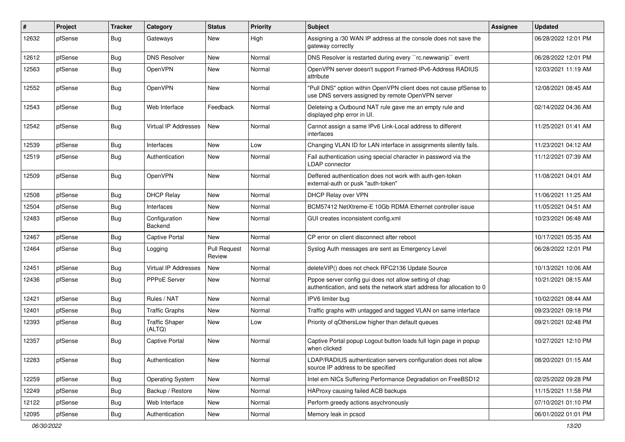| $\vert$ # | Project | <b>Tracker</b> | Category                        | <b>Status</b>                 | <b>Priority</b> | <b>Subject</b>                                                                                                                   | <b>Assignee</b> | <b>Updated</b>      |
|-----------|---------|----------------|---------------------------------|-------------------------------|-----------------|----------------------------------------------------------------------------------------------------------------------------------|-----------------|---------------------|
| 12632     | pfSense | <b>Bug</b>     | Gateways                        | New                           | High            | Assigning a /30 WAN IP address at the console does not save the<br>gateway correctly                                             |                 | 06/28/2022 12:01 PM |
| 12612     | pfSense | <b>Bug</b>     | <b>DNS Resolver</b>             | New                           | Normal          | DNS Resolver is restarted during every "rc.newwanip" event                                                                       |                 | 06/28/2022 12:01 PM |
| 12563     | pfSense | Bug            | OpenVPN                         | New                           | Normal          | OpenVPN server doesn't support Framed-IPv6-Address RADIUS<br>attribute                                                           |                 | 12/03/2021 11:19 AM |
| 12552     | pfSense | <b>Bug</b>     | OpenVPN                         | <b>New</b>                    | Normal          | "Pull DNS" option within OpenVPN client does not cause pfSense to<br>use DNS servers assigned by remote OpenVPN server           |                 | 12/08/2021 08:45 AM |
| 12543     | pfSense | Bug            | Web Interface                   | Feedback                      | Normal          | Deleteing a Outbound NAT rule gave me an empty rule and<br>displayed php error in UI.                                            |                 | 02/14/2022 04:36 AM |
| 12542     | pfSense | Bug            | Virtual IP Addresses            | New                           | Normal          | Cannot assign a same IPv6 Link-Local address to different<br>interfaces                                                          |                 | 11/25/2021 01:41 AM |
| 12539     | pfSense | Bug            | Interfaces                      | New                           | Low             | Changing VLAN ID for LAN interface in assignments silently fails.                                                                |                 | 11/23/2021 04:12 AM |
| 12519     | pfSense | Bug            | Authentication                  | New                           | Normal          | Fail authentication using special character in password via the<br><b>LDAP</b> connector                                         |                 | 11/12/2021 07:39 AM |
| 12509     | pfSense | Bug            | OpenVPN                         | <b>New</b>                    | Normal          | Deffered authentication does not work with auth-gen-token<br>external-auth or pusk "auth-token"                                  |                 | 11/08/2021 04:01 AM |
| 12508     | pfSense | Bug            | <b>DHCP Relay</b>               | <b>New</b>                    | Normal          | DHCP Relay over VPN                                                                                                              |                 | 11/06/2021 11:25 AM |
| 12504     | pfSense | Bug            | Interfaces                      | New                           | Normal          | BCM57412 NetXtreme-E 10Gb RDMA Ethernet controller issue                                                                         |                 | 11/05/2021 04:51 AM |
| 12483     | pfSense | Bug            | Configuration<br>Backend        | <b>New</b>                    | Normal          | GUI creates inconsistent config.xml                                                                                              |                 | 10/23/2021 06:48 AM |
| 12467     | pfSense | Bug            | <b>Captive Portal</b>           | New                           | Normal          | CP error on client disconnect after reboot                                                                                       |                 | 10/17/2021 05:35 AM |
| 12464     | pfSense | Bug            | Logging                         | <b>Pull Request</b><br>Review | Normal          | Syslog Auth messages are sent as Emergency Level                                                                                 |                 | 06/28/2022 12:01 PM |
| 12451     | pfSense | Bug            | Virtual IP Addresses            | <b>New</b>                    | Normal          | deleteVIP() does not check RFC2136 Update Source                                                                                 |                 | 10/13/2021 10:06 AM |
| 12436     | pfSense | Bug            | <b>PPPoE Server</b>             | New                           | Normal          | Pppoe server config gui does not allow setting of chap<br>authentication, and sets the network start address for allocation to 0 |                 | 10/21/2021 08:15 AM |
| 12421     | pfSense | <b>Bug</b>     | Rules / NAT                     | New                           | Normal          | IPV6 limiter bug                                                                                                                 |                 | 10/02/2021 08:44 AM |
| 12401     | pfSense | <b>Bug</b>     | <b>Traffic Graphs</b>           | New                           | Normal          | Traffic graphs with untagged and tagged VLAN on same interface                                                                   |                 | 09/23/2021 09:18 PM |
| 12393     | pfSense | Bug            | <b>Traffic Shaper</b><br>(ALTQ) | New                           | Low             | Priority of gOthersLow higher than default queues                                                                                |                 | 09/21/2021 02:48 PM |
| 12357     | pfSense | Bug            | <b>Captive Portal</b>           | <b>New</b>                    | Normal          | Captive Portal popup Logout button loads full login page in popup<br>when clicked                                                |                 | 10/27/2021 12:10 PM |
| 12283     | pfSense | <b>Bug</b>     | Authentication                  | New                           | Normal          | LDAP/RADIUS authentication servers configuration does not allow<br>source IP address to be specified                             |                 | 08/20/2021 01:15 AM |
| 12259     | pfSense | <b>Bug</b>     | <b>Operating System</b>         | New                           | Normal          | Intel em NICs Suffering Performance Degradation on FreeBSD12                                                                     |                 | 02/25/2022 09:28 PM |
| 12249     | pfSense | <b>Bug</b>     | Backup / Restore                | New                           | Normal          | HAProxy causing failed ACB backups                                                                                               |                 | 11/15/2021 11:58 PM |
| 12122     | pfSense | Bug            | Web Interface                   | New                           | Normal          | Perform greedy actions asychronously                                                                                             |                 | 07/10/2021 01:10 PM |
| 12095     | pfSense | Bug            | Authentication                  | New                           | Normal          | Memory leak in pcscd                                                                                                             |                 | 06/01/2022 01:01 PM |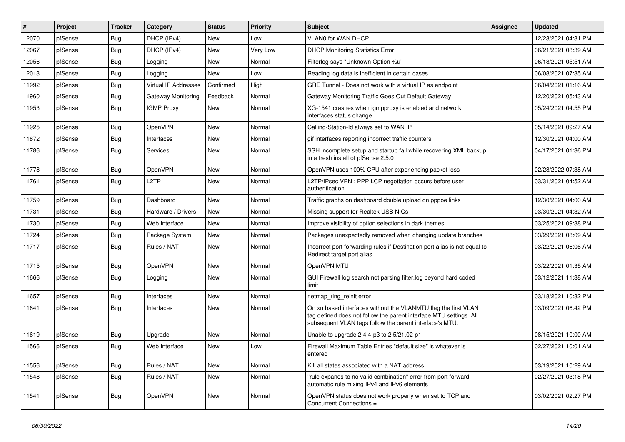| $\vert$ # | Project | <b>Tracker</b> | Category                    | <b>Status</b> | <b>Priority</b> | <b>Subject</b>                                                                                                                                                                                  | <b>Assignee</b> | <b>Updated</b>      |
|-----------|---------|----------------|-----------------------------|---------------|-----------------|-------------------------------------------------------------------------------------------------------------------------------------------------------------------------------------------------|-----------------|---------------------|
| 12070     | pfSense | <b>Bug</b>     | DHCP (IPv4)                 | <b>New</b>    | Low             | <b>VLAN0 for WAN DHCP</b>                                                                                                                                                                       |                 | 12/23/2021 04:31 PM |
| 12067     | pfSense | <b>Bug</b>     | DHCP (IPv4)                 | <b>New</b>    | Very Low        | <b>DHCP Monitoring Statistics Error</b>                                                                                                                                                         |                 | 06/21/2021 08:39 AM |
| 12056     | pfSense | Bug            | Logging                     | <b>New</b>    | Normal          | Filterlog says "Unknown Option %u"                                                                                                                                                              |                 | 06/18/2021 05:51 AM |
| 12013     | pfSense | Bug            | Logging                     | <b>New</b>    | Low             | Reading log data is inefficient in certain cases                                                                                                                                                |                 | 06/08/2021 07:35 AM |
| 11992     | pfSense | <b>Bug</b>     | <b>Virtual IP Addresses</b> | Confirmed     | High            | GRE Tunnel - Does not work with a virtual IP as endpoint                                                                                                                                        |                 | 06/04/2021 01:16 AM |
| 11960     | pfSense | <b>Bug</b>     | Gateway Monitoring          | Feedback      | Normal          | Gateway Monitoring Traffic Goes Out Default Gateway                                                                                                                                             |                 | 12/20/2021 05:43 AM |
| 11953     | pfSense | Bug            | <b>IGMP Proxy</b>           | <b>New</b>    | Normal          | XG-1541 crashes when igmpproxy is enabled and network<br>interfaces status change                                                                                                               |                 | 05/24/2021 04:55 PM |
| 11925     | pfSense | <b>Bug</b>     | OpenVPN                     | <b>New</b>    | Normal          | Calling-Station-Id always set to WAN IP                                                                                                                                                         |                 | 05/14/2021 09:27 AM |
| 11872     | pfSense | Bug            | Interfaces                  | <b>New</b>    | Normal          | gif interfaces reporting incorrect traffic counters                                                                                                                                             |                 | 12/30/2021 04:00 AM |
| 11786     | pfSense | Bug            | Services                    | New           | Normal          | SSH incomplete setup and startup fail while recovering XML backup<br>in a fresh install of pfSense 2.5.0                                                                                        |                 | 04/17/2021 01:36 PM |
| 11778     | pfSense | <b>Bug</b>     | OpenVPN                     | <b>New</b>    | Normal          | OpenVPN uses 100% CPU after experiencing packet loss                                                                                                                                            |                 | 02/28/2022 07:38 AM |
| 11761     | pfSense | Bug            | L <sub>2</sub> TP           | <b>New</b>    | Normal          | L2TP/IPsec VPN : PPP LCP negotiation occurs before user<br>authentication                                                                                                                       |                 | 03/31/2021 04:52 AM |
| 11759     | pfSense | <b>Bug</b>     | Dashboard                   | <b>New</b>    | Normal          | Traffic graphs on dashboard double upload on pppoe links                                                                                                                                        |                 | 12/30/2021 04:00 AM |
| 11731     | pfSense | Bug            | Hardware / Drivers          | New           | Normal          | Missing support for Realtek USB NICs                                                                                                                                                            |                 | 03/30/2021 04:32 AM |
| 11730     | pfSense | Bug            | Web Interface               | <b>New</b>    | Normal          | Improve visibility of option selections in dark themes                                                                                                                                          |                 | 03/25/2021 09:38 PM |
| 11724     | pfSense | Bug            | Package System              | <b>New</b>    | Normal          | Packages unexpectedly removed when changing update branches                                                                                                                                     |                 | 03/29/2021 08:09 AM |
| 11717     | pfSense | <b>Bug</b>     | Rules / NAT                 | <b>New</b>    | Normal          | Incorrect port forwarding rules if Destination port alias is not equal to<br>Redirect target port alias                                                                                         |                 | 03/22/2021 06:06 AM |
| 11715     | pfSense | Bug            | OpenVPN                     | New           | Normal          | OpenVPN MTU                                                                                                                                                                                     |                 | 03/22/2021 01:35 AM |
| 11666     | pfSense | Bug            | Logging                     | New           | Normal          | GUI Firewall log search not parsing filter log beyond hard coded<br>limit                                                                                                                       |                 | 03/12/2021 11:38 AM |
| 11657     | pfSense | <b>Bug</b>     | Interfaces                  | <b>New</b>    | Normal          | netmap_ring_reinit error                                                                                                                                                                        |                 | 03/18/2021 10:32 PM |
| 11641     | pfSense | <b>Bug</b>     | Interfaces                  | New           | Normal          | On xn based interfaces without the VLANMTU flag the first VLAN<br>tag defined does not follow the parent interface MTU settings. All<br>subsequent VLAN tags follow the parent interface's MTU. |                 | 03/09/2021 06:42 PM |
| 11619     | pfSense | <b>Bug</b>     | Upgrade                     | <b>New</b>    | Normal          | Unable to upgrade 2.4.4-p3 to 2.5/21.02-p1                                                                                                                                                      |                 | 08/15/2021 10:00 AM |
| 11566     | pfSense | <b>Bug</b>     | Web Interface               | <b>New</b>    | Low             | Firewall Maximum Table Entries "default size" is whatever is<br>entered                                                                                                                         |                 | 02/27/2021 10:01 AM |
| 11556     | pfSense | Bug            | Rules / NAT                 | New           | Normal          | Kill all states associated with a NAT address                                                                                                                                                   |                 | 03/19/2021 10:29 AM |
| 11548     | pfSense | <b>Bug</b>     | Rules / NAT                 | New           | Normal          | 'rule expands to no valid combination" error from port forward<br>automatic rule mixing IPv4 and IPv6 elements                                                                                  |                 | 02/27/2021 03:18 PM |
| 11541     | pfSense | <b>Bug</b>     | OpenVPN                     | <b>New</b>    | Normal          | OpenVPN status does not work properly when set to TCP and<br>Concurrent Connections = 1                                                                                                         |                 | 03/02/2021 02:27 PM |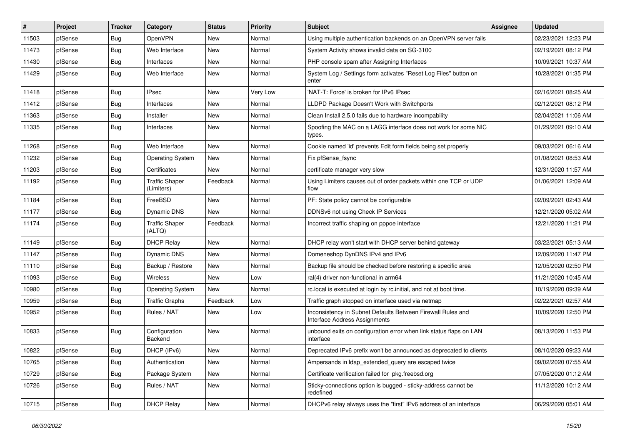| #     | Project | <b>Tracker</b> | Category                            | <b>Status</b> | <b>Priority</b> | Subject                                                                                      | <b>Assignee</b> | <b>Updated</b>      |
|-------|---------|----------------|-------------------------------------|---------------|-----------------|----------------------------------------------------------------------------------------------|-----------------|---------------------|
| 11503 | pfSense | <b>Bug</b>     | OpenVPN                             | New           | Normal          | Using multiple authentication backends on an OpenVPN server fails                            |                 | 02/23/2021 12:23 PM |
| 11473 | pfSense | Bug            | Web Interface                       | New           | Normal          | System Activity shows invalid data on SG-3100                                                |                 | 02/19/2021 08:12 PM |
| 11430 | pfSense | Bug            | Interfaces                          | New           | Normal          | PHP console spam after Assigning Interfaces                                                  |                 | 10/09/2021 10:37 AM |
| 11429 | pfSense | <b>Bug</b>     | Web Interface                       | New           | Normal          | System Log / Settings form activates "Reset Log Files" button on<br>enter                    |                 | 10/28/2021 01:35 PM |
| 11418 | pfSense | Bug            | <b>IPsec</b>                        | New           | Very Low        | 'NAT-T: Force' is broken for IPv6 IPsec                                                      |                 | 02/16/2021 08:25 AM |
| 11412 | pfSense | Bug            | Interfaces                          | New           | Normal          | LLDPD Package Doesn't Work with Switchports                                                  |                 | 02/12/2021 08:12 PM |
| 11363 | pfSense | Bug            | Installer                           | New           | Normal          | Clean Install 2.5.0 fails due to hardware incompability                                      |                 | 02/04/2021 11:06 AM |
| 11335 | pfSense | Bug            | Interfaces                          | New           | Normal          | Spoofing the MAC on a LAGG interface does not work for some NIC<br>types.                    |                 | 01/29/2021 09:10 AM |
| 11268 | pfSense | Bug            | Web Interface                       | New           | Normal          | Cookie named 'id' prevents Edit form fields being set properly                               |                 | 09/03/2021 06:16 AM |
| 11232 | pfSense | <b>Bug</b>     | <b>Operating System</b>             | New           | Normal          | Fix pfSense fsync                                                                            |                 | 01/08/2021 08:53 AM |
| 11203 | pfSense | Bug            | Certificates                        | New           | Normal          | certificate manager very slow                                                                |                 | 12/31/2020 11:57 AM |
| 11192 | pfSense | <b>Bug</b>     | <b>Traffic Shaper</b><br>(Limiters) | Feedback      | Normal          | Using Limiters causes out of order packets within one TCP or UDP<br>flow                     |                 | 01/06/2021 12:09 AM |
| 11184 | pfSense | Bug            | FreeBSD                             | <b>New</b>    | Normal          | PF: State policy cannot be configurable                                                      |                 | 02/09/2021 02:43 AM |
| 11177 | pfSense | Bug            | <b>Dynamic DNS</b>                  | New           | Normal          | DDNSv6 not using Check IP Services                                                           |                 | 12/21/2020 05:02 AM |
| 11174 | pfSense | Bug            | <b>Traffic Shaper</b><br>(ALTQ)     | Feedback      | Normal          | Incorrect traffic shaping on pppoe interface                                                 |                 | 12/21/2020 11:21 PM |
| 11149 | pfSense | Bug            | <b>DHCP Relay</b>                   | <b>New</b>    | Normal          | DHCP relay won't start with DHCP server behind gateway                                       |                 | 03/22/2021 05:13 AM |
| 11147 | pfSense | Bug            | Dynamic DNS                         | <b>New</b>    | Normal          | Domeneshop DynDNS IPv4 and IPv6                                                              |                 | 12/09/2020 11:47 PM |
| 11110 | pfSense | <b>Bug</b>     | Backup / Restore                    | New           | Normal          | Backup file should be checked before restoring a specific area                               |                 | 12/05/2020 02:50 PM |
| 11093 | pfSense | Bug            | Wireless                            | New           | Low             | ral(4) driver non-functional in arm64                                                        |                 | 11/21/2020 10:45 AM |
| 10980 | pfSense | <b>Bug</b>     | <b>Operating System</b>             | New           | Normal          | rc.local is executed at login by rc.initial, and not at boot time.                           |                 | 10/19/2020 09:39 AM |
| 10959 | pfSense | Bug            | <b>Traffic Graphs</b>               | Feedback      | Low             | Traffic graph stopped on interface used via netmap                                           |                 | 02/22/2021 02:57 AM |
| 10952 | pfSense | <b>Bug</b>     | Rules / NAT                         | New           | Low             | Inconsistency in Subnet Defaults Between Firewall Rules and<br>Interface Address Assignments |                 | 10/09/2020 12:50 PM |
| 10833 | pfSense | <b>Bug</b>     | Configuration<br>Backend            | New           | Normal          | unbound exits on configuration error when link status flaps on LAN<br>interface              |                 | 08/13/2020 11:53 PM |
| 10822 | pfSense | Bug            | DHCP (IPv6)                         | New           | Normal          | Deprecated IPv6 prefix won't be announced as deprecated to clients                           |                 | 08/10/2020 09:23 AM |
| 10765 | pfSense | <b>Bug</b>     | Authentication                      | New           | Normal          | Ampersands in Idap extended query are escaped twice                                          |                 | 09/02/2020 07:55 AM |
| 10729 | pfSense | <b>Bug</b>     | Package System                      | New           | Normal          | Certificate verification failed for pkg.freebsd.org                                          |                 | 07/05/2020 01:12 AM |
| 10726 | pfSense | <b>Bug</b>     | Rules / NAT                         | New           | Normal          | Sticky-connections option is bugged - sticky-address cannot be<br>redefined                  |                 | 11/12/2020 10:12 AM |
| 10715 | pfSense | <b>Bug</b>     | <b>DHCP Relay</b>                   | New           | Normal          | DHCPv6 relay always uses the "first" IPv6 address of an interface                            |                 | 06/29/2020 05:01 AM |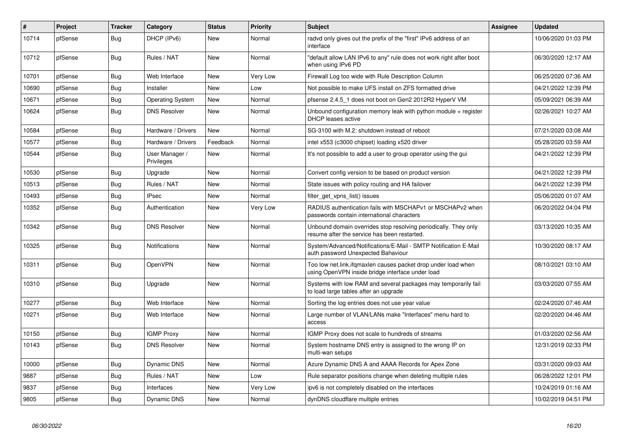| $\sharp$ | <b>Project</b> | <b>Tracker</b> | Category                     | <b>Status</b> | <b>Priority</b> | <b>Subject</b>                                                                                                    | <b>Assignee</b> | <b>Updated</b>      |
|----------|----------------|----------------|------------------------------|---------------|-----------------|-------------------------------------------------------------------------------------------------------------------|-----------------|---------------------|
| 10714    | pfSense        | Bug            | DHCP (IPv6)                  | <b>New</b>    | Normal          | radvd only gives out the prefix of the "first" IPv6 address of an<br>interface                                    |                 | 10/06/2020 01:03 PM |
| 10712    | pfSense        | Bug            | Rules / NAT                  | <b>New</b>    | Normal          | 'default allow LAN IPv6 to any" rule does not work right after boot<br>when using IPv6 PD                         |                 | 06/30/2020 12:17 AM |
| 10701    | pfSense        | <b>Bug</b>     | Web Interface                | <b>New</b>    | Very Low        | Firewall Log too wide with Rule Description Column                                                                |                 | 06/25/2020 07:36 AM |
| 10690    | pfSense        | <b>Bug</b>     | Installer                    | New           | Low             | Not possible to make UFS install on ZFS formatted drive                                                           |                 | 04/21/2022 12:39 PM |
| 10671    | pfSense        | Bug            | <b>Operating System</b>      | <b>New</b>    | Normal          | pfsense 2.4.5 1 does not boot on Gen2 2012R2 HyperV VM                                                            |                 | 05/09/2021 06:39 AM |
| 10624    | pfSense        | Bug            | <b>DNS Resolver</b>          | <b>New</b>    | Normal          | Unbound configuration memory leak with python module $+$ register<br><b>DHCP</b> leases active                    |                 | 02/26/2021 10:27 AM |
| 10584    | pfSense        | <b>Bug</b>     | Hardware / Drivers           | <b>New</b>    | Normal          | SG-3100 with M.2: shutdown instead of reboot                                                                      |                 | 07/21/2020 03:08 AM |
| 10577    | pfSense        | Bug            | Hardware / Drivers           | Feedback      | Normal          | intel x553 (c3000 chipset) loading x520 driver                                                                    |                 | 05/28/2020 03:59 AM |
| 10544    | pfSense        | <b>Bug</b>     | User Manager /<br>Privileges | <b>New</b>    | Normal          | It's not possible to add a user to group operator using the gui                                                   |                 | 04/21/2022 12:39 PM |
| 10530    | pfSense        | Bug            | Upgrade                      | <b>New</b>    | Normal          | Convert config version to be based on product version                                                             |                 | 04/21/2022 12:39 PM |
| 10513    | pfSense        | <b>Bug</b>     | Rules / NAT                  | <b>New</b>    | Normal          | State issues with policy routing and HA failover                                                                  |                 | 04/21/2022 12:39 PM |
| 10493    | pfSense        | <b>Bug</b>     | <b>IPsec</b>                 | New           | Normal          | filter get vpns list() issues                                                                                     |                 | 05/06/2020 01:07 AM |
| 10352    | pfSense        | Bug            | Authentication               | <b>New</b>    | Very Low        | RADIUS authentication fails with MSCHAPv1 or MSCHAPv2 when<br>passwords contain international characters          |                 | 06/20/2022 04:04 PM |
| 10342    | pfSense        | <b>Bug</b>     | <b>DNS Resolver</b>          | New           | Normal          | Unbound domain overrides stop resolving periodically. They only<br>resume after the service has been restarted.   |                 | 03/13/2020 10:35 AM |
| 10325    | pfSense        | Bug            | <b>Notifications</b>         | <b>New</b>    | Normal          | System/Advanced/Notifications/E-Mail - SMTP Notification E-Mail<br>auth password Unexpected Bahaviour             |                 | 10/30/2020 08:17 AM |
| 10311    | pfSense        | Bug            | OpenVPN                      | <b>New</b>    | Normal          | Too low net.link.ifgmaxlen causes packet drop under load when<br>using OpenVPN inside bridge interface under load |                 | 08/10/2021 03:10 AM |
| 10310    | pfSense        | <b>Bug</b>     | Upgrade                      | <b>New</b>    | Normal          | Systems with low RAM and several packages may temporarily fail<br>to load large tables after an upgrade           |                 | 03/03/2020 07:55 AM |
| 10277    | pfSense        | Bug            | Web Interface                | <b>New</b>    | Normal          | Sorting the log entries does not use year value                                                                   |                 | 02/24/2020 07:46 AM |
| 10271    | pfSense        | Bug            | Web Interface                | <b>New</b>    | Normal          | Large number of VLAN/LANs make "Interfaces" menu hard to<br>access                                                |                 | 02/20/2020 04:46 AM |
| 10150    | pfSense        | Bug            | <b>IGMP Proxy</b>            | <b>New</b>    | Normal          | IGMP Proxy does not scale to hundreds of streams                                                                  |                 | 01/03/2020 02:56 AM |
| 10143    | pfSense        | Bug            | <b>DNS Resolver</b>          | <b>New</b>    | Normal          | System hostname DNS entry is assigned to the wrong IP on<br>multi-wan setups                                      |                 | 12/31/2019 02:33 PM |
| 10000    | pfSense        | <b>Bug</b>     | Dynamic DNS                  | <b>New</b>    | Normal          | Azure Dynamic DNS A and AAAA Records for Apex Zone                                                                |                 | 03/31/2020 09:03 AM |
| 9887     | pfSense        | <b>Bug</b>     | Rules / NAT                  | New           | Low             | Rule separator positions change when deleting multiple rules                                                      |                 | 06/28/2022 12:01 PM |
| 9837     | pfSense        | Bug            | Interfaces                   | <b>New</b>    | Very Low        | ipv6 is not completely disabled on the interfaces                                                                 |                 | 10/24/2019 01:16 AM |
| 9805     | pfSense        | Bug            | Dynamic DNS                  | <b>New</b>    | Normal          | dynDNS cloudflare multiple entries                                                                                |                 | 10/02/2019 04:51 PM |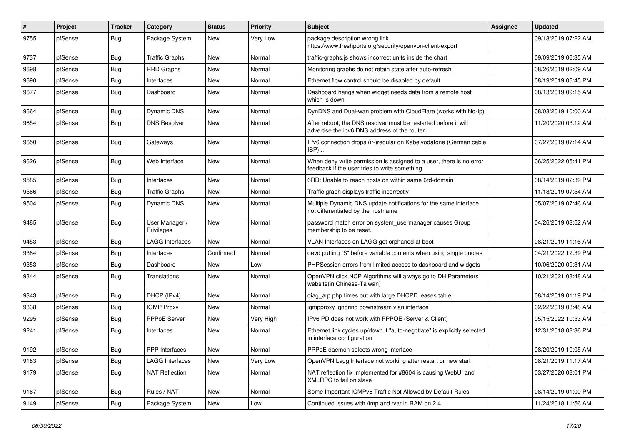| $\pmb{\#}$ | Project | <b>Tracker</b> | Category                     | <b>Status</b> | <b>Priority</b> | <b>Subject</b>                                                                                                       | <b>Assignee</b> | <b>Updated</b>      |
|------------|---------|----------------|------------------------------|---------------|-----------------|----------------------------------------------------------------------------------------------------------------------|-----------------|---------------------|
| 9755       | pfSense | Bug            | Package System               | <b>New</b>    | Very Low        | package description wrong link<br>https://www.freshports.org/security/openvpn-client-export                          |                 | 09/13/2019 07:22 AM |
| 9737       | pfSense | <b>Bug</b>     | <b>Traffic Graphs</b>        | <b>New</b>    | Normal          | traffic-graphs.js shows incorrect units inside the chart                                                             |                 | 09/09/2019 06:35 AM |
| 9698       | pfSense | <b>Bug</b>     | <b>RRD Graphs</b>            | <b>New</b>    | Normal          | Monitoring graphs do not retain state after auto-refresh                                                             |                 | 08/26/2019 02:09 AM |
| 9690       | pfSense | Bug            | Interfaces                   | <b>New</b>    | Normal          | Ethernet flow control should be disabled by default                                                                  |                 | 08/19/2019 06:45 PM |
| 9677       | pfSense | Bug            | Dashboard                    | New           | Normal          | Dashboard hangs when widget needs data from a remote host<br>which is down                                           |                 | 08/13/2019 09:15 AM |
| 9664       | pfSense | Bug            | <b>Dynamic DNS</b>           | <b>New</b>    | Normal          | DynDNS and Dual-wan problem with CloudFlare (works with No-Ip)                                                       |                 | 08/03/2019 10:00 AM |
| 9654       | pfSense | Bug            | <b>DNS Resolver</b>          | <b>New</b>    | Normal          | After reboot, the DNS resolver must be restarted before it will<br>advertise the ipv6 DNS address of the router.     |                 | 11/20/2020 03:12 AM |
| 9650       | pfSense | <b>Bug</b>     | Gateways                     | <b>New</b>    | Normal          | IPv6 connection drops (ir-)regular on Kabelvodafone (German cable<br>ISP)                                            |                 | 07/27/2019 07:14 AM |
| 9626       | pfSense | Bug            | Web Interface                | <b>New</b>    | Normal          | When deny write permission is assigned to a user, there is no error<br>feedback if the user tries to write something |                 | 06/25/2022 05:41 PM |
| 9585       | pfSense | <b>Bug</b>     | Interfaces                   | <b>New</b>    | Normal          | 6RD: Unable to reach hosts on within same 6rd-domain                                                                 |                 | 08/14/2019 02:39 PM |
| 9566       | pfSense | <b>Bug</b>     | Traffic Graphs               | <b>New</b>    | Normal          | Traffic graph displays traffic incorrectly                                                                           |                 | 11/18/2019 07:54 AM |
| 9504       | pfSense | Bug            | <b>Dynamic DNS</b>           | <b>New</b>    | Normal          | Multiple Dynamic DNS update notifications for the same interface,<br>not differentiated by the hostname              |                 | 05/07/2019 07:46 AM |
| 9485       | pfSense | <b>Bug</b>     | User Manager /<br>Privileges | <b>New</b>    | Normal          | password match error on system usermanager causes Group<br>membership to be reset.                                   |                 | 04/26/2019 08:52 AM |
| 9453       | pfSense | <b>Bug</b>     | <b>LAGG Interfaces</b>       | <b>New</b>    | Normal          | VLAN Interfaces on LAGG get orphaned at boot                                                                         |                 | 08/21/2019 11:16 AM |
| 9384       | pfSense | <b>Bug</b>     | Interfaces                   | Confirmed     | Normal          | devd putting "\$" before variable contents when using single quotes                                                  |                 | 04/21/2022 12:39 PM |
| 9353       | pfSense | <b>Bug</b>     | Dashboard                    | New           | Low             | PHPSession errors from limited access to dashboard and widgets                                                       |                 | 10/06/2020 09:31 AM |
| 9344       | pfSense | Bug            | Translations                 | <b>New</b>    | Normal          | OpenVPN click NCP Algorithms will always go to DH Parameters<br>website(in Chinese-Taiwan)                           |                 | 10/21/2021 03:48 AM |
| 9343       | pfSense | <b>Bug</b>     | DHCP (IPv4)                  | <b>New</b>    | Normal          | diag_arp.php times out with large DHCPD leases table                                                                 |                 | 08/14/2019 01:19 PM |
| 9338       | pfSense | <b>Bug</b>     | <b>IGMP Proxy</b>            | <b>New</b>    | Normal          | igmpproxy ignoring downstream vlan interface                                                                         |                 | 02/22/2019 03:48 AM |
| 9295       | pfSense | <b>Bug</b>     | PPPoE Server                 | New           | Very High       | IPv6 PD does not work with PPPOE (Server & Client)                                                                   |                 | 05/15/2022 10:53 AM |
| 9241       | pfSense | <b>Bug</b>     | Interfaces                   | New           | Normal          | Ethernet link cycles up/down if "auto-negotiate" is explicitly selected<br>in interface configuration                |                 | 12/31/2018 08:36 PM |
| 9192       | pfSense | <b>Bug</b>     | <b>PPP</b> Interfaces        | <b>New</b>    | Normal          | PPPoE daemon selects wrong interface                                                                                 |                 | 08/20/2019 10:05 AM |
| 9183       | pfSense | Bug            | <b>LAGG Interfaces</b>       | New           | Very Low        | OpenVPN Lagg Interface not working after restart or new start                                                        |                 | 08/21/2019 11:17 AM |
| 9179       | pfSense | Bug            | <b>NAT Reflection</b>        | <b>New</b>    | Normal          | NAT reflection fix implemented for #8604 is causing WebUI and<br>XMLRPC to fail on slave                             |                 | 03/27/2020 08:01 PM |
| 9167       | pfSense | Bug            | Rules / NAT                  | <b>New</b>    | Normal          | Some Important ICMPv6 Traffic Not Allowed by Default Rules                                                           |                 | 08/14/2019 01:00 PM |
| 9149       | pfSense | Bug            | Package System               | New           | Low             | Continued issues with /tmp and /var in RAM on 2.4                                                                    |                 | 11/24/2018 11:56 AM |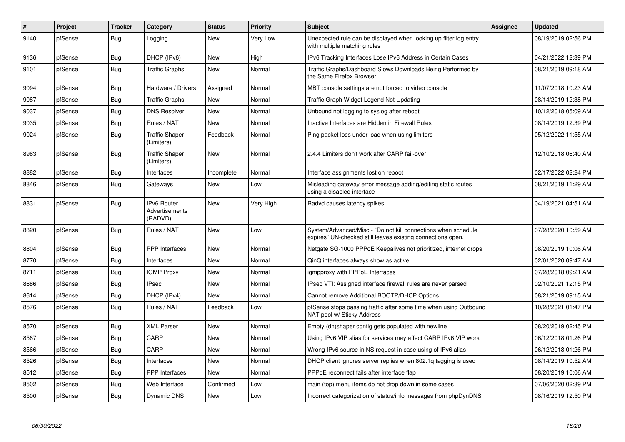| $\sharp$ | Project | <b>Tracker</b> | Category                                        | <b>Status</b> | Priority  | <b>Subject</b>                                                                                                               | <b>Assignee</b> | <b>Updated</b>      |
|----------|---------|----------------|-------------------------------------------------|---------------|-----------|------------------------------------------------------------------------------------------------------------------------------|-----------------|---------------------|
| 9140     | pfSense | Bug            | Logging                                         | New           | Very Low  | Unexpected rule can be displayed when looking up filter log entry<br>with multiple matching rules                            |                 | 08/19/2019 02:56 PM |
| 9136     | pfSense | Bug            | DHCP (IPv6)                                     | <b>New</b>    | High      | IPv6 Tracking Interfaces Lose IPv6 Address in Certain Cases                                                                  |                 | 04/21/2022 12:39 PM |
| 9101     | pfSense | Bug            | <b>Traffic Graphs</b>                           | <b>New</b>    | Normal    | Traffic Graphs/Dashboard Slows Downloads Being Performed by<br>the Same Firefox Browser                                      |                 | 08/21/2019 09:18 AM |
| 9094     | pfSense | <b>Bug</b>     | Hardware / Drivers                              | Assigned      | Normal    | MBT console settings are not forced to video console                                                                         |                 | 11/07/2018 10:23 AM |
| 9087     | pfSense | Bug            | <b>Traffic Graphs</b>                           | New           | Normal    | Traffic Graph Widget Legend Not Updating                                                                                     |                 | 08/14/2019 12:38 PM |
| 9037     | pfSense | <b>Bug</b>     | <b>DNS Resolver</b>                             | <b>New</b>    | Normal    | Unbound not logging to syslog after reboot                                                                                   |                 | 10/12/2018 05:09 AM |
| 9035     | pfSense | Bug            | Rules / NAT                                     | <b>New</b>    | Normal    | Inactive Interfaces are Hidden in Firewall Rules                                                                             |                 | 08/14/2019 12:39 PM |
| 9024     | pfSense | <b>Bug</b>     | <b>Traffic Shaper</b><br>(Limiters)             | Feedback      | Normal    | Ping packet loss under load when using limiters                                                                              |                 | 05/12/2022 11:55 AM |
| 8963     | pfSense | Bug            | <b>Traffic Shaper</b><br>(Limiters)             | <b>New</b>    | Normal    | 2.4.4 Limiters don't work after CARP fail-over                                                                               |                 | 12/10/2018 06:40 AM |
| 8882     | pfSense | Bug            | Interfaces                                      | Incomplete    | Normal    | Interface assignments lost on reboot                                                                                         |                 | 02/17/2022 02:24 PM |
| 8846     | pfSense | <b>Bug</b>     | Gateways                                        | <b>New</b>    | Low       | Misleading gateway error message adding/editing static routes<br>using a disabled interface                                  |                 | 08/21/2019 11:29 AM |
| 8831     | pfSense | Bug            | <b>IPv6 Router</b><br>Advertisements<br>(RADVD) | <b>New</b>    | Very High | Radvd causes latency spikes                                                                                                  |                 | 04/19/2021 04:51 AM |
| 8820     | pfSense | <b>Bug</b>     | Rules / NAT                                     | <b>New</b>    | Low       | System/Advanced/Misc - "Do not kill connections when schedule<br>expires" UN-checked still leaves existing connections open. |                 | 07/28/2020 10:59 AM |
| 8804     | pfSense | Bug            | <b>PPP</b> Interfaces                           | <b>New</b>    | Normal    | Netgate SG-1000 PPPoE Keepalives not prioritized, internet drops                                                             |                 | 08/20/2019 10:06 AM |
| 8770     | pfSense | <b>Bug</b>     | Interfaces                                      | <b>New</b>    | Normal    | QinQ interfaces always show as active                                                                                        |                 | 02/01/2020 09:47 AM |
| 8711     | pfSense | Bug            | <b>IGMP Proxy</b>                               | <b>New</b>    | Normal    | igmpproxy with PPPoE Interfaces                                                                                              |                 | 07/28/2018 09:21 AM |
| 8686     | pfSense | Bug            | <b>IPsec</b>                                    | <b>New</b>    | Normal    | IPsec VTI: Assigned interface firewall rules are never parsed                                                                |                 | 02/10/2021 12:15 PM |
| 8614     | pfSense | <b>Bug</b>     | DHCP (IPv4)                                     | <b>New</b>    | Normal    | Cannot remove Additional BOOTP/DHCP Options                                                                                  |                 | 08/21/2019 09:15 AM |
| 8576     | pfSense | Bug            | Rules / NAT                                     | Feedback      | Low       | pfSense stops passing traffic after some time when using Outbound<br>NAT pool w/ Sticky Address                              |                 | 10/28/2021 01:47 PM |
| 8570     | pfSense | <b>Bug</b>     | <b>XML Parser</b>                               | <b>New</b>    | Normal    | Empty (dn)shaper config gets populated with newline                                                                          |                 | 08/20/2019 02:45 PM |
| 8567     | pfSense | Bug            | CARP                                            | <b>New</b>    | Normal    | Using IPv6 VIP alias for services may affect CARP IPv6 VIP work                                                              |                 | 06/12/2018 01:26 PM |
| 8566     | pfSense | Bug            | CARP                                            | <b>New</b>    | Normal    | Wrong IPv6 source in NS request in case using of IPv6 alias                                                                  |                 | 06/12/2018 01:26 PM |
| 8526     | pfSense | Bug            | Interfaces                                      | <b>New</b>    | Normal    | DHCP client ignores server replies when 802.1q tagging is used                                                               |                 | 08/14/2019 10:52 AM |
| 8512     | pfSense | <b>Bug</b>     | <b>PPP</b> Interfaces                           | <b>New</b>    | Normal    | PPPoE reconnect fails after interface flap                                                                                   |                 | 08/20/2019 10:06 AM |
| 8502     | pfSense | Bug            | Web Interface                                   | Confirmed     | Low       | main (top) menu items do not drop down in some cases                                                                         |                 | 07/06/2020 02:39 PM |
| 8500     | pfSense | Bug            | Dynamic DNS                                     | <b>New</b>    | Low       | Incorrect categorization of status/info messages from phpDynDNS                                                              |                 | 08/16/2019 12:50 PM |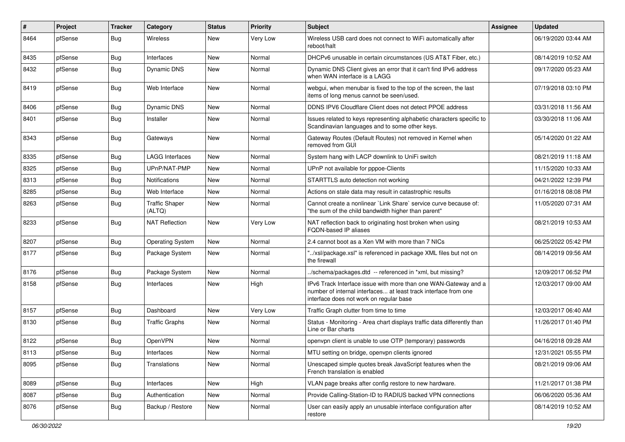| #    | Project | <b>Tracker</b> | Category                        | <b>Status</b> | <b>Priority</b> | <b>Subject</b>                                                                                                                                                                | <b>Assignee</b> | <b>Updated</b>      |
|------|---------|----------------|---------------------------------|---------------|-----------------|-------------------------------------------------------------------------------------------------------------------------------------------------------------------------------|-----------------|---------------------|
| 8464 | pfSense | Bug            | Wireless                        | New           | Very Low        | Wireless USB card does not connect to WiFi automatically after<br>reboot/halt                                                                                                 |                 | 06/19/2020 03:44 AM |
| 8435 | pfSense | Bug            | Interfaces                      | New           | Normal          | DHCPv6 unusable in certain circumstances (US AT&T Fiber, etc.)                                                                                                                |                 | 08/14/2019 10:52 AM |
| 8432 | pfSense | Bug            | <b>Dynamic DNS</b>              | New           | Normal          | Dynamic DNS Client gives an error that it can't find IPv6 address<br>when WAN interface is a LAGG                                                                             |                 | 09/17/2020 05:23 AM |
| 8419 | pfSense | Bug            | Web Interface                   | New           | Normal          | webgui, when menubar is fixed to the top of the screen, the last<br>items of long menus cannot be seen/used.                                                                  |                 | 07/19/2018 03:10 PM |
| 8406 | pfSense | <b>Bug</b>     | <b>Dynamic DNS</b>              | New           | Normal          | DDNS IPV6 Cloudflare Client does not detect PPOE address                                                                                                                      |                 | 03/31/2018 11:56 AM |
| 8401 | pfSense | <b>Bug</b>     | Installer                       | New           | Normal          | Issues related to keys representing alphabetic characters specific to<br>Scandinavian languages and to some other keys.                                                       |                 | 03/30/2018 11:06 AM |
| 8343 | pfSense | Bug            | Gateways                        | New           | Normal          | Gateway Routes (Default Routes) not removed in Kernel when<br>removed from GUI                                                                                                |                 | 05/14/2020 01:22 AM |
| 8335 | pfSense | <b>Bug</b>     | <b>LAGG Interfaces</b>          | <b>New</b>    | Normal          | System hang with LACP downlink to UniFi switch                                                                                                                                |                 | 08/21/2019 11:18 AM |
| 8325 | pfSense | <b>Bug</b>     | UPnP/NAT-PMP                    | New           | Normal          | UPnP not available for pppoe-Clients                                                                                                                                          |                 | 11/15/2020 10:33 AM |
| 8313 | pfSense | <b>Bug</b>     | <b>Notifications</b>            | New           | Normal          | STARTTLS auto detection not working                                                                                                                                           |                 | 04/21/2022 12:39 PM |
| 8285 | pfSense | <b>Bug</b>     | Web Interface                   | New           | Normal          | Actions on stale data may result in catastrophic results                                                                                                                      |                 | 01/16/2018 08:08 PM |
| 8263 | pfSense | <b>Bug</b>     | <b>Traffic Shaper</b><br>(ALTQ) | New           | Normal          | Cannot create a nonlinear `Link Share` service curve because of:<br>"the sum of the child bandwidth higher than parent"                                                       |                 | 11/05/2020 07:31 AM |
| 8233 | pfSense | Bug            | <b>NAT Reflection</b>           | New           | Very Low        | NAT reflection back to originating host broken when using<br><b>FQDN-based IP aliases</b>                                                                                     |                 | 08/21/2019 10:53 AM |
| 8207 | pfSense | <b>Bug</b>     | <b>Operating System</b>         | New           | Normal          | 2.4 cannot boot as a Xen VM with more than 7 NICs                                                                                                                             |                 | 06/25/2022 05:42 PM |
| 8177 | pfSense | Bug            | Package System                  | New           | Normal          | "/xsl/package.xsl" is referenced in package XML files but not on<br>the firewall                                                                                              |                 | 08/14/2019 09:56 AM |
| 8176 | pfSense | <b>Bug</b>     | Package System                  | New           | Normal          | /schema/packages.dtd -- referenced in *xml, but missing?                                                                                                                      |                 | 12/09/2017 06:52 PM |
| 8158 | pfSense | Bug            | Interfaces                      | New           | High            | IPv6 Track Interface issue with more than one WAN-Gateway and a<br>number of internal interfaces at least track interface from one<br>interface does not work on regular base |                 | 12/03/2017 09:00 AM |
| 8157 | pfSense | Bug            | Dashboard                       | New           | Very Low        | Traffic Graph clutter from time to time                                                                                                                                       |                 | 12/03/2017 06:40 AM |
| 8130 | pfSense | <b>Bug</b>     | <b>Traffic Graphs</b>           | New           | Normal          | Status - Monitoring - Area chart displays traffic data differently than<br>Line or Bar charts                                                                                 |                 | 11/26/2017 01:40 PM |
| 8122 | pfSense | <b>Bug</b>     | OpenVPN                         | New           | Normal          | openvpn client is unable to use OTP (temporary) passwords                                                                                                                     |                 | 04/16/2018 09:28 AM |
| 8113 | pfSense | <b>Bug</b>     | Interfaces                      | New           | Normal          | MTU setting on bridge, openvpn clients ignored                                                                                                                                |                 | 12/31/2021 05:55 PM |
| 8095 | pfSense | <b>Bug</b>     | Translations                    | New           | Normal          | Unescaped simple quotes break JavaScript features when the<br>French translation is enabled                                                                                   |                 | 08/21/2019 09:06 AM |
| 8089 | pfSense | <b>Bug</b>     | Interfaces                      | New           | High            | VLAN page breaks after config restore to new hardware.                                                                                                                        |                 | 11/21/2017 01:38 PM |
| 8087 | pfSense | <b>Bug</b>     | Authentication                  | New           | Normal          | Provide Calling-Station-ID to RADIUS backed VPN connections                                                                                                                   |                 | 06/06/2020 05:36 AM |
| 8076 | pfSense | <b>Bug</b>     | Backup / Restore                | New           | Normal          | User can easily apply an unusable interface configuration after<br>restore                                                                                                    |                 | 08/14/2019 10:52 AM |